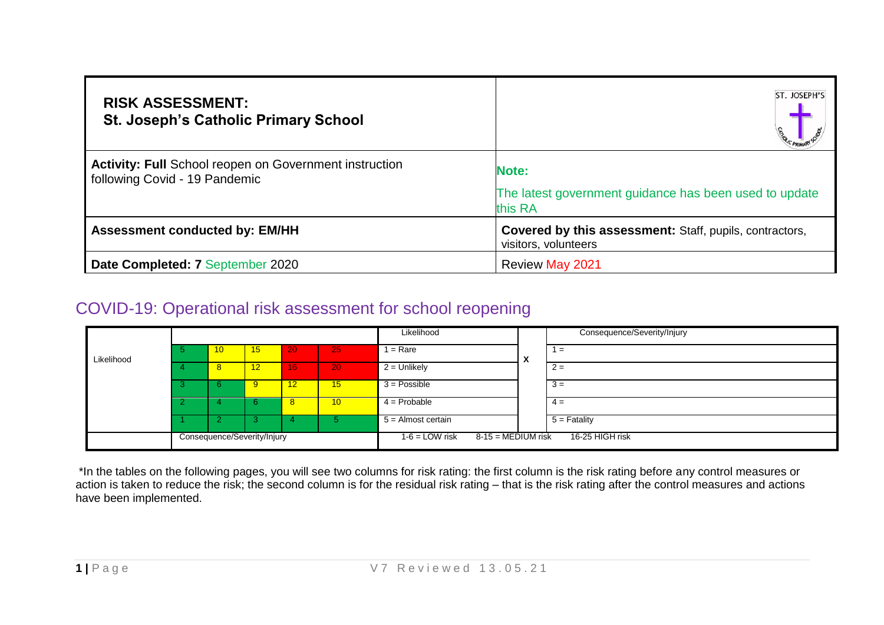| <b>RISK ASSESSMENT:</b><br><b>St. Joseph's Catholic Primary School</b>                  | ST. JOSEPH'S                                                                           |
|-----------------------------------------------------------------------------------------|----------------------------------------------------------------------------------------|
| Activity: Full School reopen on Government instruction<br>following Covid - 19 Pandemic | <b>Note:</b><br>The latest government guidance has been used to update<br>this RA      |
| <b>Assessment conducted by: EM/HH</b>                                                   | <b>Covered by this assessment:</b> Staff, pupils, contractors,<br>visitors, volunteers |
| Date Completed: 7 September 2020                                                        | <b>Review May 2021</b>                                                                 |

## COVID-19: Operational risk assessment for school reopening

|            |    |                             |    |                 | Likelihood                                      |              | Consequence/Severity/Injury |
|------------|----|-----------------------------|----|-----------------|-------------------------------------------------|--------------|-----------------------------|
| Likelihood | 10 | 15                          | 20 | 25              | $=$ Rare                                        | $\mathbf{v}$ | $=$                         |
|            | 8  | 12 <sub>1</sub>             | 16 | 20              | $2 =$ Unlikely                                  |              | $2 =$                       |
|            | n  |                             | 12 | 15              | $3 = Possible$                                  |              | $3 =$                       |
|            |    |                             | -8 | 10 <sup>2</sup> | $4 =$ Probable                                  |              | $4 =$                       |
|            |    |                             |    |                 | $5 =$ Almost certain                            |              | $5 =$ Fatality              |
|            |    | Consequence/Severity/Injury |    |                 | $1-6 =$ LOW risk<br>$8-15 = \text{MEDIUM}$ risk |              | 16-25 HIGH risk             |

\*In the tables on the following pages, you will see two columns for risk rating: the first column is the risk rating before any control measures or action is taken to reduce the risk; the second column is for the residual risk rating – that is the risk rating after the control measures and actions have been implemented.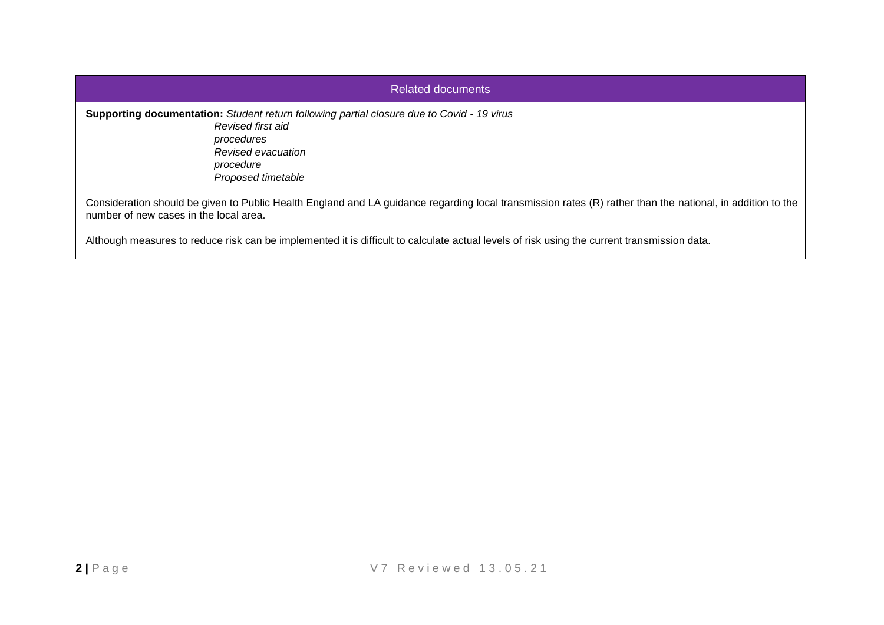| Related documents                                                                                                                                                                                    |
|------------------------------------------------------------------------------------------------------------------------------------------------------------------------------------------------------|
| <b>Supporting documentation:</b> Student return following partial closure due to Covid - 19 virus<br>Revised first aid<br>procedures<br>Revised evacuation<br>procedure<br>Proposed timetable        |
| Consideration should be given to Public Health England and LA guidance regarding local transmission rates (R) rather than the national, in addition to the<br>number of new cases in the local area. |
| Although measures to reduce risk can be implemented it is difficult to calculate actual levels of risk using the current transmission data.                                                          |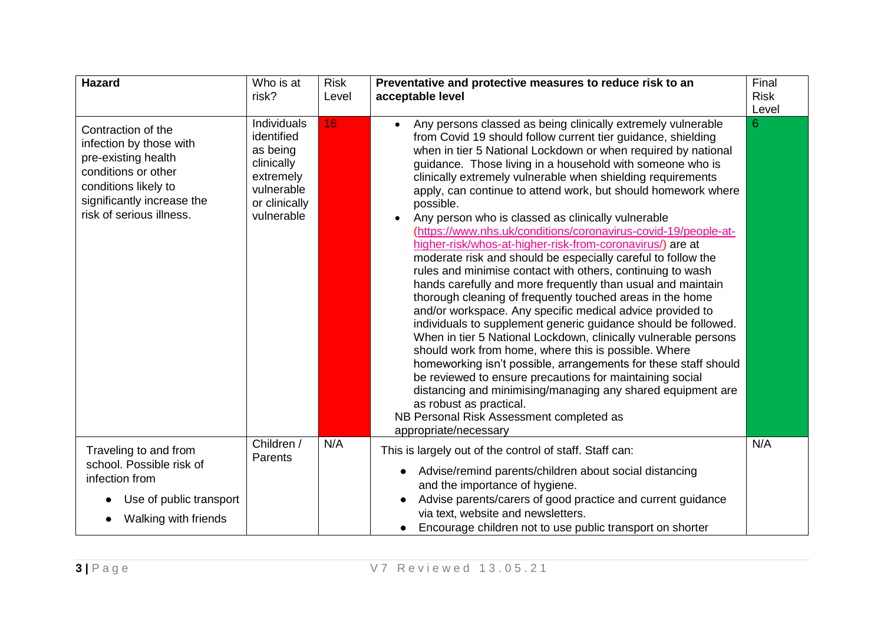| Hazard                                                                                                                                                                        | Who is at<br>risk?                                                                                            | <b>Risk</b><br>Level | Preventative and protective measures to reduce risk to an<br>acceptable level                                                                                                                                                                                                                                                                                                                                                                                                                                                                                                                                                                                                                                                                                                                                                                                                                                                                                                                                                                                                                                                                                                                                                                                                                                                                                                                                  | Final<br><b>Risk</b><br>Level |
|-------------------------------------------------------------------------------------------------------------------------------------------------------------------------------|---------------------------------------------------------------------------------------------------------------|----------------------|----------------------------------------------------------------------------------------------------------------------------------------------------------------------------------------------------------------------------------------------------------------------------------------------------------------------------------------------------------------------------------------------------------------------------------------------------------------------------------------------------------------------------------------------------------------------------------------------------------------------------------------------------------------------------------------------------------------------------------------------------------------------------------------------------------------------------------------------------------------------------------------------------------------------------------------------------------------------------------------------------------------------------------------------------------------------------------------------------------------------------------------------------------------------------------------------------------------------------------------------------------------------------------------------------------------------------------------------------------------------------------------------------------------|-------------------------------|
| Contraction of the<br>infection by those with<br>pre-existing health<br>conditions or other<br>conditions likely to<br>significantly increase the<br>risk of serious illness. | Individuals<br>identified<br>as being<br>clinically<br>extremely<br>vulnerable<br>or clinically<br>vulnerable | 16                   | Any persons classed as being clinically extremely vulnerable<br>from Covid 19 should follow current tier guidance, shielding<br>when in tier 5 National Lockdown or when required by national<br>guidance. Those living in a household with someone who is<br>clinically extremely vulnerable when shielding requirements<br>apply, can continue to attend work, but should homework where<br>possible.<br>Any person who is classed as clinically vulnerable<br>(https://www.nhs.uk/conditions/coronavirus-covid-19/people-at-<br>higher-risk/whos-at-higher-risk-from-coronavirus/) are at<br>moderate risk and should be especially careful to follow the<br>rules and minimise contact with others, continuing to wash<br>hands carefully and more frequently than usual and maintain<br>thorough cleaning of frequently touched areas in the home<br>and/or workspace. Any specific medical advice provided to<br>individuals to supplement generic guidance should be followed.<br>When in tier 5 National Lockdown, clinically vulnerable persons<br>should work from home, where this is possible. Where<br>homeworking isn't possible, arrangements for these staff should<br>be reviewed to ensure precautions for maintaining social<br>distancing and minimising/managing any shared equipment are<br>as robust as practical.<br>NB Personal Risk Assessment completed as<br>appropriate/necessary | 6                             |
| Traveling to and from<br>school. Possible risk of<br>infection from                                                                                                           | Children /<br>Parents                                                                                         | N/A                  | This is largely out of the control of staff. Staff can:<br>Advise/remind parents/children about social distancing<br>$\bullet$<br>and the importance of hygiene.                                                                                                                                                                                                                                                                                                                                                                                                                                                                                                                                                                                                                                                                                                                                                                                                                                                                                                                                                                                                                                                                                                                                                                                                                                               | N/A                           |
| Use of public transport<br>$\bullet$<br>Walking with friends                                                                                                                  |                                                                                                               |                      | Advise parents/carers of good practice and current guidance<br>via text, website and newsletters.<br>Encourage children not to use public transport on shorter                                                                                                                                                                                                                                                                                                                                                                                                                                                                                                                                                                                                                                                                                                                                                                                                                                                                                                                                                                                                                                                                                                                                                                                                                                                 |                               |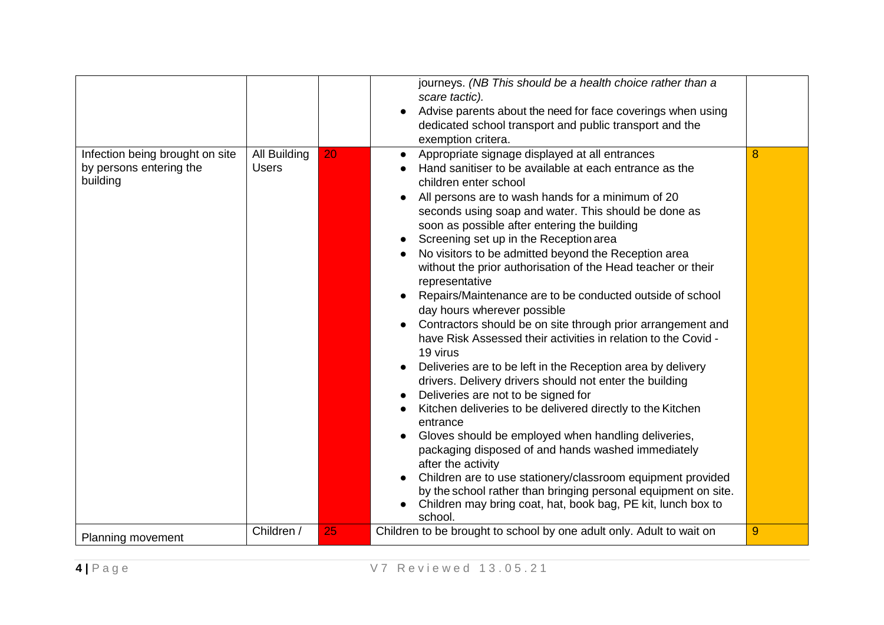|                                                                        |                              |    | journeys. (NB This should be a health choice rather than a<br>scare tactic).<br>Advise parents about the need for face coverings when using<br>dedicated school transport and public transport and the<br>exemption critera.                                                                                                                                                                                                                                                                                                                                                                                                                                                                                                                                                                                                                                                                                                                                                                                                                                                                                                                                                                                                                                                                                                                                 |   |
|------------------------------------------------------------------------|------------------------------|----|--------------------------------------------------------------------------------------------------------------------------------------------------------------------------------------------------------------------------------------------------------------------------------------------------------------------------------------------------------------------------------------------------------------------------------------------------------------------------------------------------------------------------------------------------------------------------------------------------------------------------------------------------------------------------------------------------------------------------------------------------------------------------------------------------------------------------------------------------------------------------------------------------------------------------------------------------------------------------------------------------------------------------------------------------------------------------------------------------------------------------------------------------------------------------------------------------------------------------------------------------------------------------------------------------------------------------------------------------------------|---|
| Infection being brought on site<br>by persons entering the<br>building | All Building<br><b>Users</b> | 20 | Appropriate signage displayed at all entrances<br>$\bullet$<br>Hand sanitiser to be available at each entrance as the<br>children enter school<br>All persons are to wash hands for a minimum of 20<br>seconds using soap and water. This should be done as<br>soon as possible after entering the building<br>Screening set up in the Reception area<br>$\bullet$<br>No visitors to be admitted beyond the Reception area<br>without the prior authorisation of the Head teacher or their<br>representative<br>Repairs/Maintenance are to be conducted outside of school<br>day hours wherever possible<br>Contractors should be on site through prior arrangement and<br>have Risk Assessed their activities in relation to the Covid -<br>19 virus<br>Deliveries are to be left in the Reception area by delivery<br>$\bullet$<br>drivers. Delivery drivers should not enter the building<br>Deliveries are not to be signed for<br>Kitchen deliveries to be delivered directly to the Kitchen<br>entrance<br>Gloves should be employed when handling deliveries,<br>packaging disposed of and hands washed immediately<br>after the activity<br>Children are to use stationery/classroom equipment provided<br>by the school rather than bringing personal equipment on site.<br>Children may bring coat, hat, book bag, PE kit, lunch box to<br>school. | 8 |
| Planning movement                                                      | Children /                   | 25 | Children to be brought to school by one adult only. Adult to wait on                                                                                                                                                                                                                                                                                                                                                                                                                                                                                                                                                                                                                                                                                                                                                                                                                                                                                                                                                                                                                                                                                                                                                                                                                                                                                         | 9 |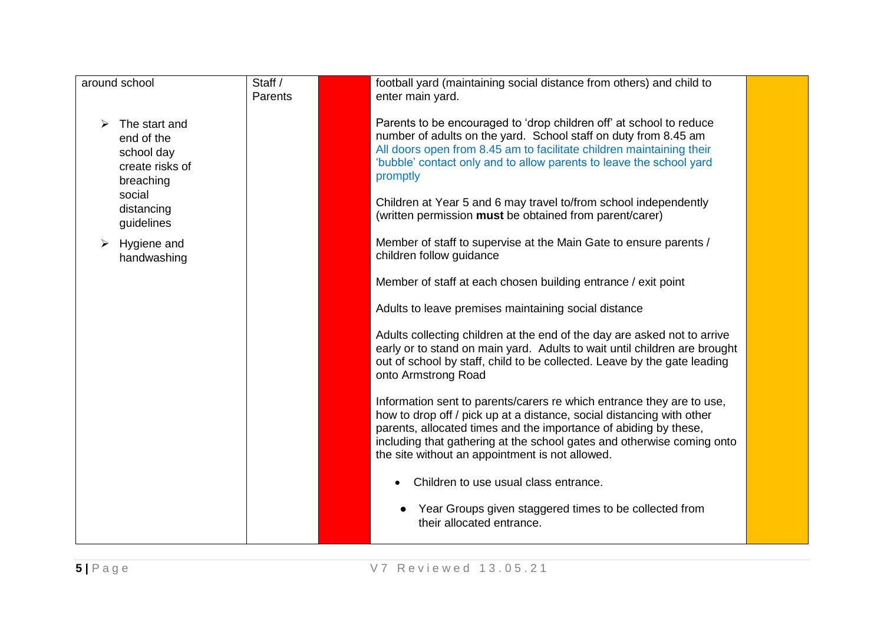| around school                                                             | Staff /<br>Parents | football yard (maintaining social distance from others) and child to<br>enter main yard.                                                                                                                                                                                                                                                        |  |
|---------------------------------------------------------------------------|--------------------|-------------------------------------------------------------------------------------------------------------------------------------------------------------------------------------------------------------------------------------------------------------------------------------------------------------------------------------------------|--|
| The start and<br>end of the<br>school day<br>create risks of<br>breaching |                    | Parents to be encouraged to 'drop children off' at school to reduce<br>number of adults on the yard. School staff on duty from 8.45 am<br>All doors open from 8.45 am to facilitate children maintaining their<br>'bubble' contact only and to allow parents to leave the school yard<br>promptly                                               |  |
| social<br>distancing<br>guidelines                                        |                    | Children at Year 5 and 6 may travel to/from school independently<br>(written permission must be obtained from parent/carer)                                                                                                                                                                                                                     |  |
| Hygiene and<br>handwashing                                                |                    | Member of staff to supervise at the Main Gate to ensure parents /<br>children follow guidance                                                                                                                                                                                                                                                   |  |
|                                                                           |                    | Member of staff at each chosen building entrance / exit point                                                                                                                                                                                                                                                                                   |  |
|                                                                           |                    | Adults to leave premises maintaining social distance                                                                                                                                                                                                                                                                                            |  |
|                                                                           |                    | Adults collecting children at the end of the day are asked not to arrive<br>early or to stand on main yard. Adults to wait until children are brought<br>out of school by staff, child to be collected. Leave by the gate leading<br>onto Armstrong Road                                                                                        |  |
|                                                                           |                    | Information sent to parents/carers re which entrance they are to use,<br>how to drop off / pick up at a distance, social distancing with other<br>parents, allocated times and the importance of abiding by these,<br>including that gathering at the school gates and otherwise coming onto<br>the site without an appointment is not allowed. |  |
|                                                                           |                    | Children to use usual class entrance.                                                                                                                                                                                                                                                                                                           |  |
|                                                                           |                    | Year Groups given staggered times to be collected from<br>their allocated entrance.                                                                                                                                                                                                                                                             |  |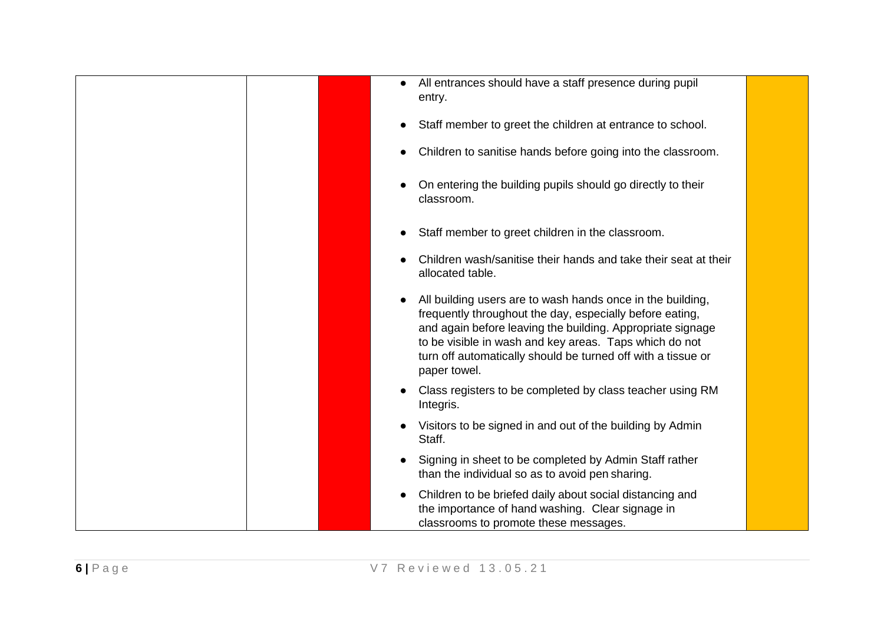| All entrances should have a staff presence during pupil<br>$\bullet$<br>entry.                                                                                                                                                                                                                                                 |
|--------------------------------------------------------------------------------------------------------------------------------------------------------------------------------------------------------------------------------------------------------------------------------------------------------------------------------|
| Staff member to greet the children at entrance to school.<br>$\bullet$                                                                                                                                                                                                                                                         |
| Children to sanitise hands before going into the classroom.<br>$\bullet$                                                                                                                                                                                                                                                       |
| On entering the building pupils should go directly to their<br>classroom.                                                                                                                                                                                                                                                      |
| Staff member to greet children in the classroom.<br>$\bullet$                                                                                                                                                                                                                                                                  |
| Children wash/sanitise their hands and take their seat at their<br>allocated table.                                                                                                                                                                                                                                            |
| All building users are to wash hands once in the building,<br>frequently throughout the day, especially before eating,<br>and again before leaving the building. Appropriate signage<br>to be visible in wash and key areas. Taps which do not<br>turn off automatically should be turned off with a tissue or<br>paper towel. |
| Class registers to be completed by class teacher using RM<br>Integris.                                                                                                                                                                                                                                                         |
| Visitors to be signed in and out of the building by Admin<br>Staff.                                                                                                                                                                                                                                                            |
| Signing in sheet to be completed by Admin Staff rather<br>than the individual so as to avoid pen sharing.                                                                                                                                                                                                                      |
| Children to be briefed daily about social distancing and<br>$\bullet$<br>the importance of hand washing. Clear signage in<br>classrooms to promote these messages.                                                                                                                                                             |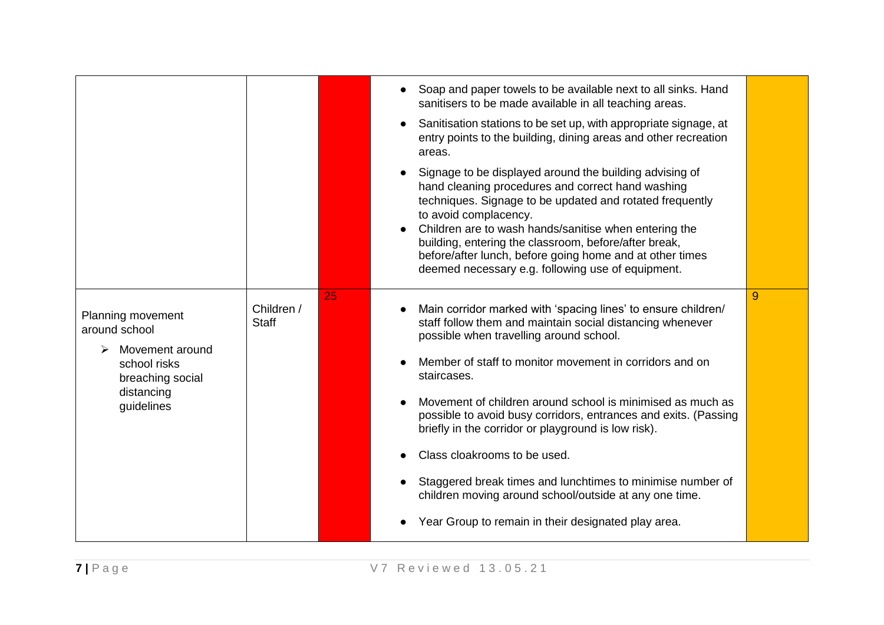|                                                                                                                       |                            |    | Soap and paper towels to be available next to all sinks. Hand<br>sanitisers to be made available in all teaching areas.<br>Sanitisation stations to be set up, with appropriate signage, at<br>entry points to the building, dining areas and other recreation<br>areas.                                                                                                                                                                                                                                                                                                                                                                                            |   |
|-----------------------------------------------------------------------------------------------------------------------|----------------------------|----|---------------------------------------------------------------------------------------------------------------------------------------------------------------------------------------------------------------------------------------------------------------------------------------------------------------------------------------------------------------------------------------------------------------------------------------------------------------------------------------------------------------------------------------------------------------------------------------------------------------------------------------------------------------------|---|
|                                                                                                                       |                            |    | Signage to be displayed around the building advising of<br>hand cleaning procedures and correct hand washing<br>techniques. Signage to be updated and rotated frequently<br>to avoid complacency.<br>Children are to wash hands/sanitise when entering the<br>building, entering the classroom, before/after break,<br>before/after lunch, before going home and at other times<br>deemed necessary e.g. following use of equipment.                                                                                                                                                                                                                                |   |
| Planning movement<br>around school<br>Movement around<br>school risks<br>breaching social<br>distancing<br>guidelines | Children /<br><b>Staff</b> | 25 | Main corridor marked with 'spacing lines' to ensure children/<br>$\bullet$<br>staff follow them and maintain social distancing whenever<br>possible when travelling around school.<br>Member of staff to monitor movement in corridors and on<br>staircases.<br>Movement of children around school is minimised as much as<br>possible to avoid busy corridors, entrances and exits. (Passing<br>briefly in the corridor or playground is low risk).<br>Class cloakrooms to be used.<br>Staggered break times and lunchtimes to minimise number of<br>children moving around school/outside at any one time.<br>Year Group to remain in their designated play area. | 9 |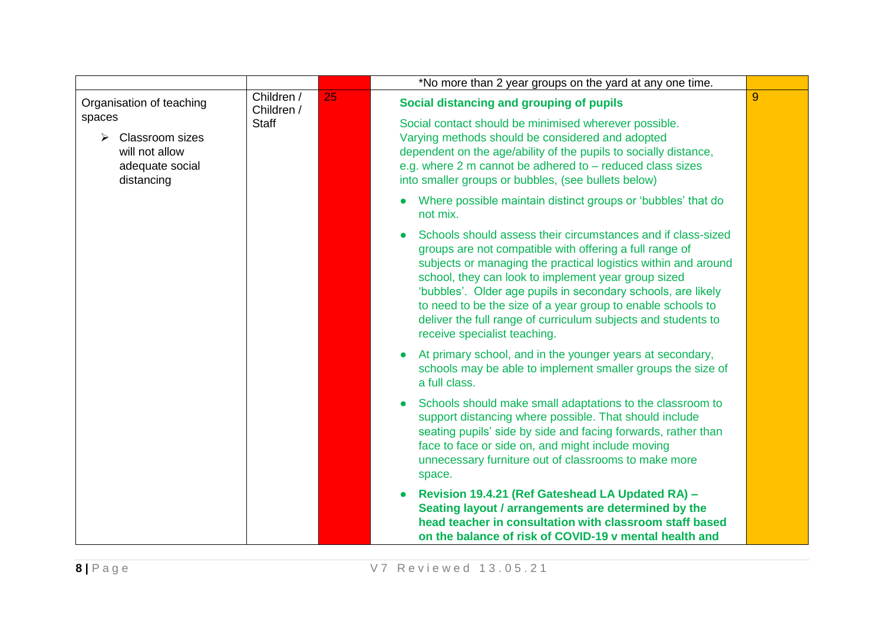|                                                                                                         |                          |    | *No more than 2 year groups on the yard at any one time.                                                                                                                                                                                                                                                                                                                                                                                                                         |   |  |  |  |  |  |  |                                                                          |  |                                                                                                                                                                                                                                 |                                                                  |  |
|---------------------------------------------------------------------------------------------------------|--------------------------|----|----------------------------------------------------------------------------------------------------------------------------------------------------------------------------------------------------------------------------------------------------------------------------------------------------------------------------------------------------------------------------------------------------------------------------------------------------------------------------------|---|--|--|--|--|--|--|--------------------------------------------------------------------------|--|---------------------------------------------------------------------------------------------------------------------------------------------------------------------------------------------------------------------------------|------------------------------------------------------------------|--|
| Organisation of teaching                                                                                | Children /<br>Children / | 25 | Social distancing and grouping of pupils                                                                                                                                                                                                                                                                                                                                                                                                                                         | 9 |  |  |  |  |  |  |                                                                          |  |                                                                                                                                                                                                                                 |                                                                  |  |
| spaces<br>$\triangleright$<br><b>Classroom sizes</b><br>will not allow<br>adequate social<br>distancing | <b>Staff</b>             |    |                                                                                                                                                                                                                                                                                                                                                                                                                                                                                  |   |  |  |  |  |  |  |                                                                          |  | Social contact should be minimised wherever possible.<br>Varying methods should be considered and adopted<br>e.g. where 2 m cannot be adhered to $-$ reduced class sizes<br>into smaller groups or bubbles, (see bullets below) | dependent on the age/ability of the pupils to socially distance, |  |
|                                                                                                         |                          |    |                                                                                                                                                                                                                                                                                                                                                                                                                                                                                  |   |  |  |  |  |  |  | Where possible maintain distinct groups or 'bubbles' that do<br>not mix. |  |                                                                                                                                                                                                                                 |                                                                  |  |
|                                                                                                         |                          |    | Schools should assess their circumstances and if class-sized<br>groups are not compatible with offering a full range of<br>subjects or managing the practical logistics within and around<br>school, they can look to implement year group sized<br>'bubbles'. Older age pupils in secondary schools, are likely<br>to need to be the size of a year group to enable schools to<br>deliver the full range of curriculum subjects and students to<br>receive specialist teaching. |   |  |  |  |  |  |  |                                                                          |  |                                                                                                                                                                                                                                 |                                                                  |  |
|                                                                                                         |                          |    | At primary school, and in the younger years at secondary,<br>schools may be able to implement smaller groups the size of<br>a full class.                                                                                                                                                                                                                                                                                                                                        |   |  |  |  |  |  |  |                                                                          |  |                                                                                                                                                                                                                                 |                                                                  |  |
|                                                                                                         |                          |    | Schools should make small adaptations to the classroom to<br>support distancing where possible. That should include<br>seating pupils' side by side and facing forwards, rather than<br>face to face or side on, and might include moving<br>unnecessary furniture out of classrooms to make more<br>space.                                                                                                                                                                      |   |  |  |  |  |  |  |                                                                          |  |                                                                                                                                                                                                                                 |                                                                  |  |
|                                                                                                         |                          |    | Revision 19.4.21 (Ref Gateshead LA Updated RA) -<br>Seating layout / arrangements are determined by the<br>head teacher in consultation with classroom staff based<br>on the balance of risk of COVID-19 v mental health and                                                                                                                                                                                                                                                     |   |  |  |  |  |  |  |                                                                          |  |                                                                                                                                                                                                                                 |                                                                  |  |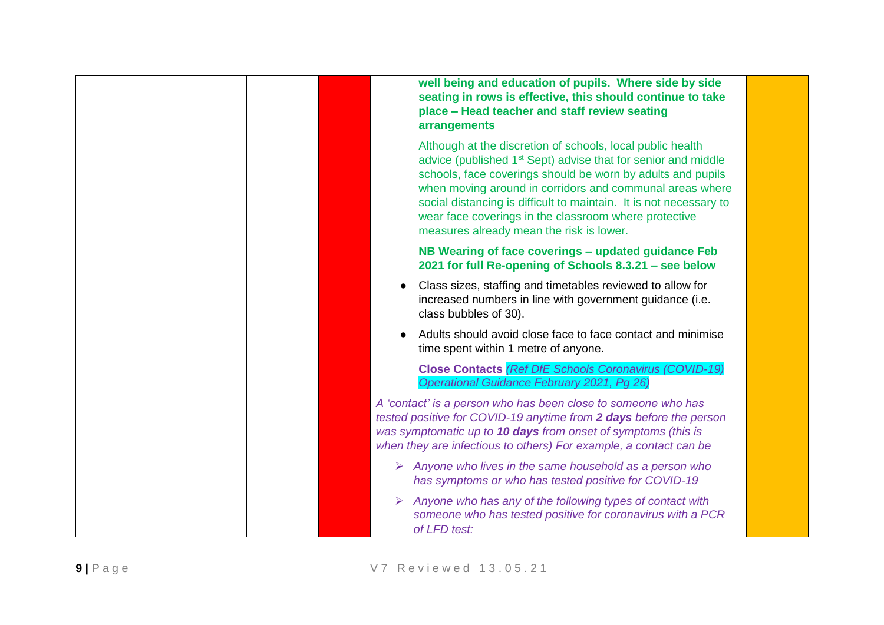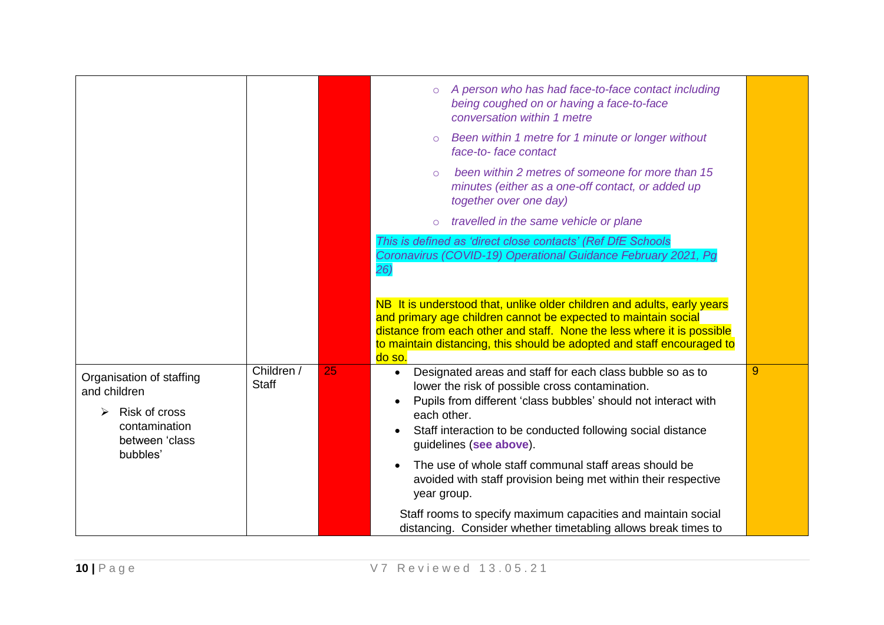|                                                                                              |                            |    | A person who has had face-to-face contact including<br>$\circ$<br>being coughed on or having a face-to-face<br>conversation within 1 metre<br>Been within 1 metre for 1 minute or longer without<br>$\circ$<br>face-to-face contact                                                                     |   |
|----------------------------------------------------------------------------------------------|----------------------------|----|---------------------------------------------------------------------------------------------------------------------------------------------------------------------------------------------------------------------------------------------------------------------------------------------------------|---|
|                                                                                              |                            |    | been within 2 metres of someone for more than 15<br>$\bigcirc$<br>minutes (either as a one-off contact, or added up<br>together over one day)                                                                                                                                                           |   |
|                                                                                              |                            |    | travelled in the same vehicle or plane<br>$\circ$                                                                                                                                                                                                                                                       |   |
|                                                                                              |                            |    | This is defined as 'direct close contacts' (Ref DfE Schools                                                                                                                                                                                                                                             |   |
|                                                                                              |                            |    | Coronavirus (COVID-19) Operational Guidance February 2021, Pg<br>26)                                                                                                                                                                                                                                    |   |
|                                                                                              |                            |    | NB It is understood that, unlike older children and adults, early years<br>and primary age children cannot be expected to maintain social<br>distance from each other and staff. None the less where it is possible<br>to maintain distancing, this should be adopted and staff encouraged to<br>do so. |   |
| Organisation of staffing<br>and children<br>Risk of cross<br>contamination<br>between 'class | Children /<br><b>Staff</b> | 25 | Designated areas and staff for each class bubble so as to<br>$\bullet$<br>lower the risk of possible cross contamination.<br>Pupils from different 'class bubbles' should not interact with<br>each other.<br>Staff interaction to be conducted following social distance<br>quidelines (see above).    | 9 |
| bubbles'                                                                                     |                            |    | The use of whole staff communal staff areas should be<br>avoided with staff provision being met within their respective<br>year group.                                                                                                                                                                  |   |
|                                                                                              |                            |    | Staff rooms to specify maximum capacities and maintain social<br>distancing. Consider whether timetabling allows break times to                                                                                                                                                                         |   |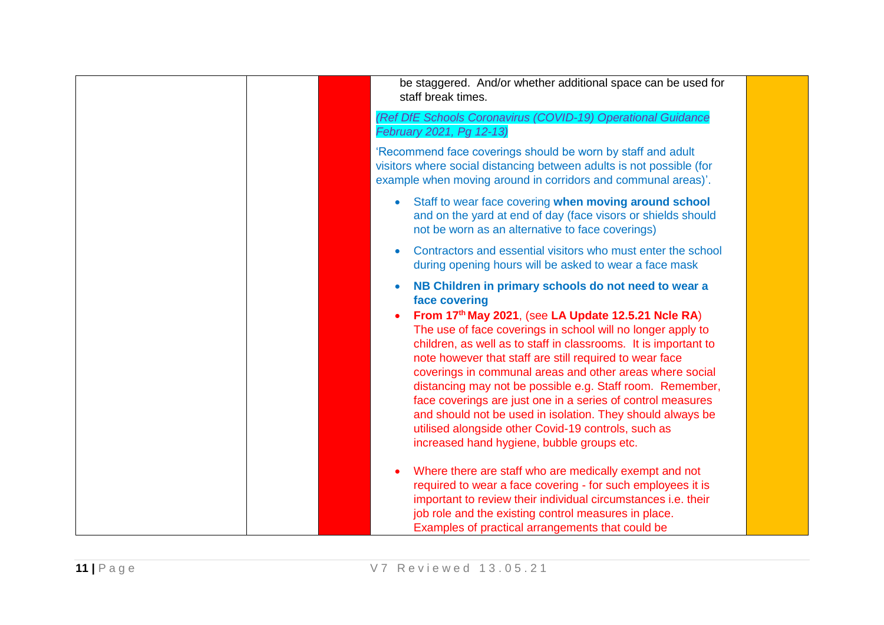| be staggered. And/or whether additional space can be used for<br>staff break times.                                                                                                                                                                                                                                                                                                                                                                                                                                                                                                                                                                                                               |
|---------------------------------------------------------------------------------------------------------------------------------------------------------------------------------------------------------------------------------------------------------------------------------------------------------------------------------------------------------------------------------------------------------------------------------------------------------------------------------------------------------------------------------------------------------------------------------------------------------------------------------------------------------------------------------------------------|
| (Ref DfE Schools Coronavirus (COVID-19) Operational Guidance<br>February 2021, Pg 12-13)                                                                                                                                                                                                                                                                                                                                                                                                                                                                                                                                                                                                          |
| 'Recommend face coverings should be worn by staff and adult<br>visitors where social distancing between adults is not possible (for<br>example when moving around in corridors and communal areas)'.                                                                                                                                                                                                                                                                                                                                                                                                                                                                                              |
| Staff to wear face covering when moving around school<br>$\bullet$<br>and on the yard at end of day (face visors or shields should<br>not be worn as an alternative to face coverings)                                                                                                                                                                                                                                                                                                                                                                                                                                                                                                            |
| Contractors and essential visitors who must enter the school<br>٠<br>during opening hours will be asked to wear a face mask                                                                                                                                                                                                                                                                                                                                                                                                                                                                                                                                                                       |
| NB Children in primary schools do not need to wear a<br>$\bullet$<br>face covering<br>From 17th May 2021, (see LA Update 12.5.21 Ncle RA)<br>The use of face coverings in school will no longer apply to<br>children, as well as to staff in classrooms. It is important to<br>note however that staff are still required to wear face<br>coverings in communal areas and other areas where social<br>distancing may not be possible e.g. Staff room. Remember,<br>face coverings are just one in a series of control measures<br>and should not be used in isolation. They should always be<br>utilised alongside other Covid-19 controls, such as<br>increased hand hygiene, bubble groups etc. |
| Where there are staff who are medically exempt and not<br>required to wear a face covering - for such employees it is<br>important to review their individual circumstances i.e. their<br>job role and the existing control measures in place.<br>Examples of practical arrangements that could be                                                                                                                                                                                                                                                                                                                                                                                                |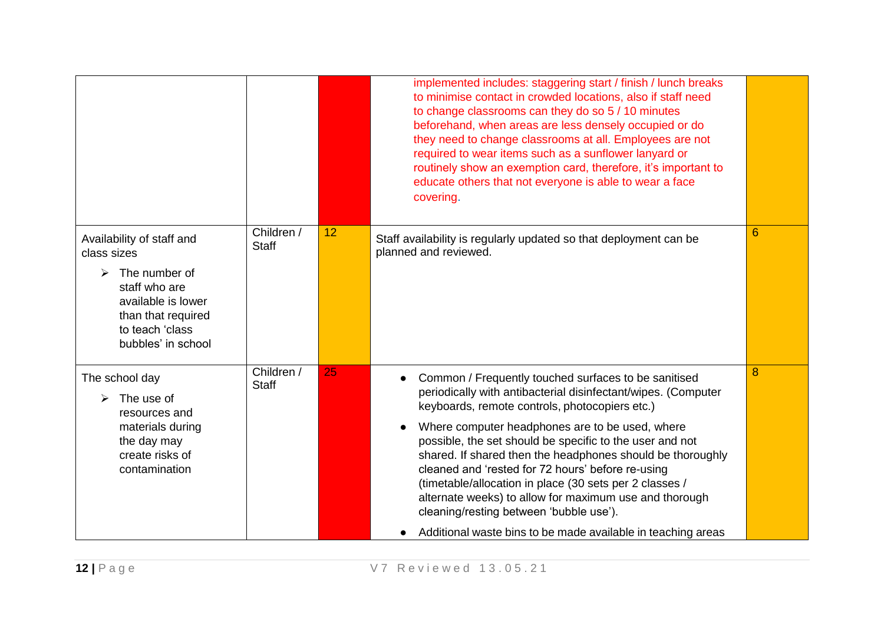|                                                                                                                                                                                          |                            |    | implemented includes: staggering start / finish / lunch breaks<br>to minimise contact in crowded locations, also if staff need<br>to change classrooms can they do so 5 / 10 minutes<br>beforehand, when areas are less densely occupied or do<br>they need to change classrooms at all. Employees are not<br>required to wear items such as a sunflower lanyard or<br>routinely show an exemption card, therefore, it's important to<br>educate others that not everyone is able to wear a face<br>covering.                                                                                                                                                       |   |
|------------------------------------------------------------------------------------------------------------------------------------------------------------------------------------------|----------------------------|----|---------------------------------------------------------------------------------------------------------------------------------------------------------------------------------------------------------------------------------------------------------------------------------------------------------------------------------------------------------------------------------------------------------------------------------------------------------------------------------------------------------------------------------------------------------------------------------------------------------------------------------------------------------------------|---|
| Availability of staff and<br>class sizes<br>The number of<br>$\blacktriangleright$<br>staff who are<br>available is lower<br>than that required<br>to teach 'class<br>bubbles' in school | Children /<br><b>Staff</b> | 12 | Staff availability is regularly updated so that deployment can be<br>planned and reviewed.                                                                                                                                                                                                                                                                                                                                                                                                                                                                                                                                                                          | 6 |
| The school day<br>The use of<br>resources and<br>materials during<br>the day may<br>create risks of<br>contamination                                                                     | Children /<br><b>Staff</b> | 25 | Common / Frequently touched surfaces to be sanitised<br>$\bullet$<br>periodically with antibacterial disinfectant/wipes. (Computer<br>keyboards, remote controls, photocopiers etc.)<br>Where computer headphones are to be used, where<br>possible, the set should be specific to the user and not<br>shared. If shared then the headphones should be thoroughly<br>cleaned and 'rested for 72 hours' before re-using<br>(timetable/allocation in place (30 sets per 2 classes /<br>alternate weeks) to allow for maximum use and thorough<br>cleaning/resting between 'bubble use').<br>Additional waste bins to be made available in teaching areas<br>$\bullet$ | 8 |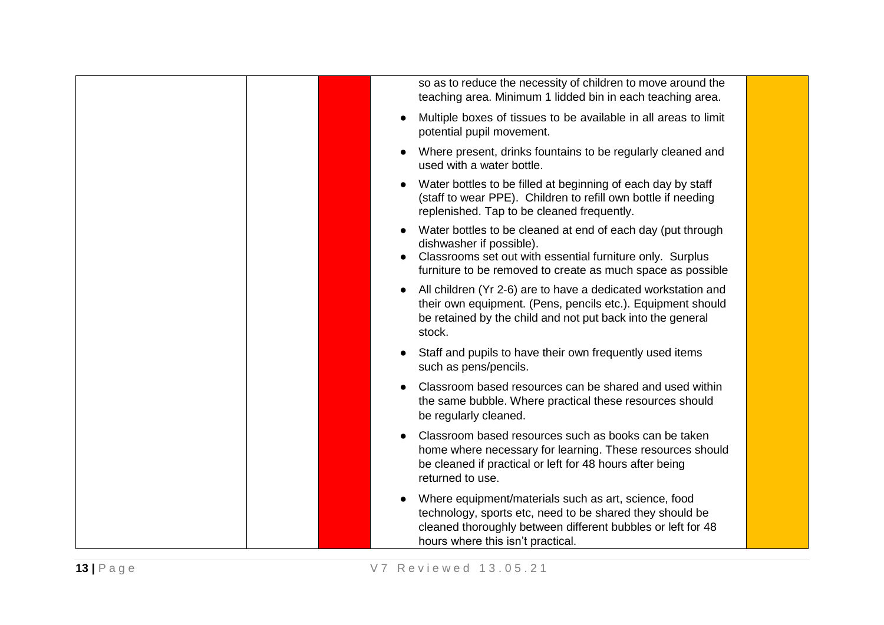| so as to reduce the necessity of children to move around the<br>teaching area. Minimum 1 lidded bin in each teaching area.                                                                                                       |  |
|----------------------------------------------------------------------------------------------------------------------------------------------------------------------------------------------------------------------------------|--|
| Multiple boxes of tissues to be available in all areas to limit<br>$\bullet$<br>potential pupil movement.                                                                                                                        |  |
| Where present, drinks fountains to be regularly cleaned and<br>used with a water bottle.                                                                                                                                         |  |
| Water bottles to be filled at beginning of each day by staff<br>(staff to wear PPE). Children to refill own bottle if needing<br>replenished. Tap to be cleaned frequently.                                                      |  |
| Water bottles to be cleaned at end of each day (put through<br>dishwasher if possible).<br>Classrooms set out with essential furniture only. Surplus<br>$\bullet$<br>furniture to be removed to create as much space as possible |  |
| All children (Yr 2-6) are to have a dedicated workstation and<br>$\bullet$<br>their own equipment. (Pens, pencils etc.). Equipment should<br>be retained by the child and not put back into the general<br>stock.                |  |
| Staff and pupils to have their own frequently used items<br>$\bullet$<br>such as pens/pencils.                                                                                                                                   |  |
| Classroom based resources can be shared and used within<br>the same bubble. Where practical these resources should<br>be regularly cleaned.                                                                                      |  |
| Classroom based resources such as books can be taken<br>home where necessary for learning. These resources should<br>be cleaned if practical or left for 48 hours after being<br>returned to use.                                |  |
| Where equipment/materials such as art, science, food<br>technology, sports etc, need to be shared they should be<br>cleaned thoroughly between different bubbles or left for 48<br>hours where this isn't practical.             |  |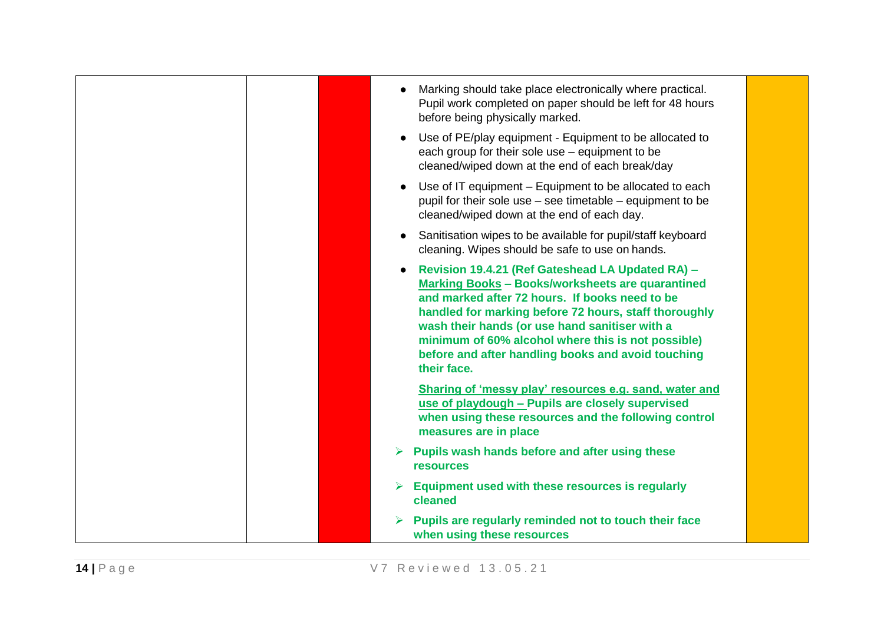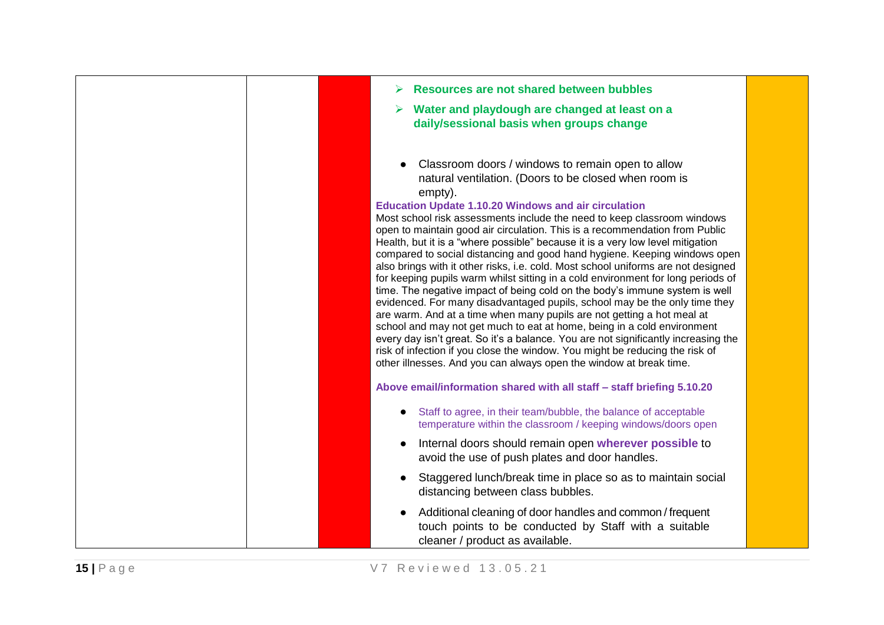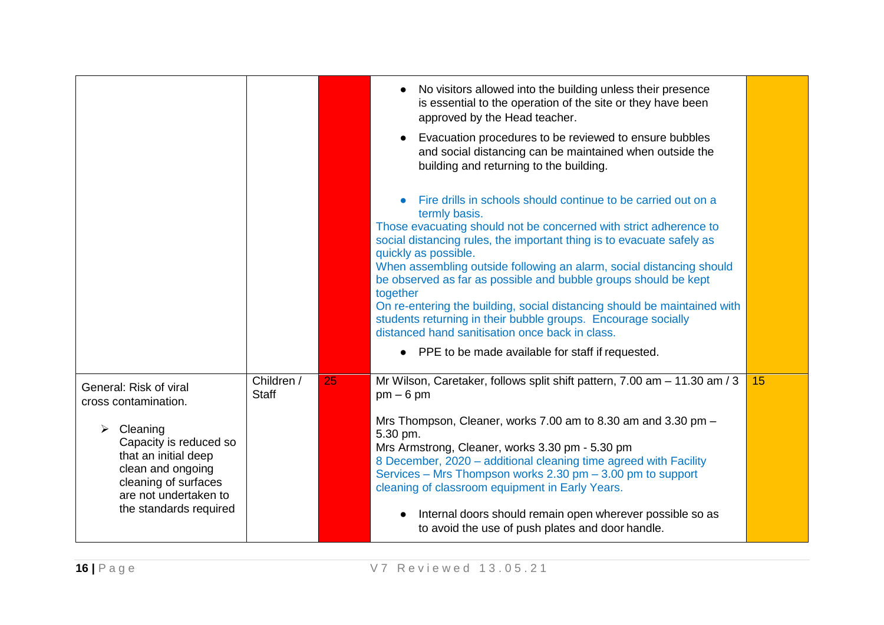|                                                                                                                                                                 |                            |    | No visitors allowed into the building unless their presence<br>$\bullet$<br>is essential to the operation of the site or they have been<br>approved by the Head teacher.<br>Evacuation procedures to be reviewed to ensure bubbles<br>$\bullet$<br>and social distancing can be maintained when outside the<br>building and returning to the building.                                                                                                                                                                                                                                                      |    |
|-----------------------------------------------------------------------------------------------------------------------------------------------------------------|----------------------------|----|-------------------------------------------------------------------------------------------------------------------------------------------------------------------------------------------------------------------------------------------------------------------------------------------------------------------------------------------------------------------------------------------------------------------------------------------------------------------------------------------------------------------------------------------------------------------------------------------------------------|----|
|                                                                                                                                                                 |                            |    | Fire drills in schools should continue to be carried out on a<br>termly basis.<br>Those evacuating should not be concerned with strict adherence to<br>social distancing rules, the important thing is to evacuate safely as<br>quickly as possible.<br>When assembling outside following an alarm, social distancing should<br>be observed as far as possible and bubble groups should be kept<br>together<br>On re-entering the building, social distancing should be maintained with<br>students returning in their bubble groups. Encourage socially<br>distanced hand sanitisation once back in class. |    |
|                                                                                                                                                                 |                            |    | • PPE to be made available for staff if requested.                                                                                                                                                                                                                                                                                                                                                                                                                                                                                                                                                          |    |
| General: Risk of viral<br>cross contamination.                                                                                                                  | Children /<br><b>Staff</b> | 25 | Mr Wilson, Caretaker, follows split shift pattern, 7.00 am - 11.30 am / 3<br>$pm - 6$ pm                                                                                                                                                                                                                                                                                                                                                                                                                                                                                                                    | 15 |
| Cleaning<br>➤<br>Capacity is reduced so<br>that an initial deep<br>clean and ongoing<br>cleaning of surfaces<br>are not undertaken to<br>the standards required |                            |    | Mrs Thompson, Cleaner, works 7.00 am to 8.30 am and 3.30 pm -<br>5.30 pm.<br>Mrs Armstrong, Cleaner, works 3.30 pm - 5.30 pm<br>8 December, 2020 - additional cleaning time agreed with Facility<br>Services - Mrs Thompson works 2.30 pm - 3.00 pm to support<br>cleaning of classroom equipment in Early Years.<br>Internal doors should remain open wherever possible so as<br>$\bullet$<br>to avoid the use of push plates and door handle.                                                                                                                                                             |    |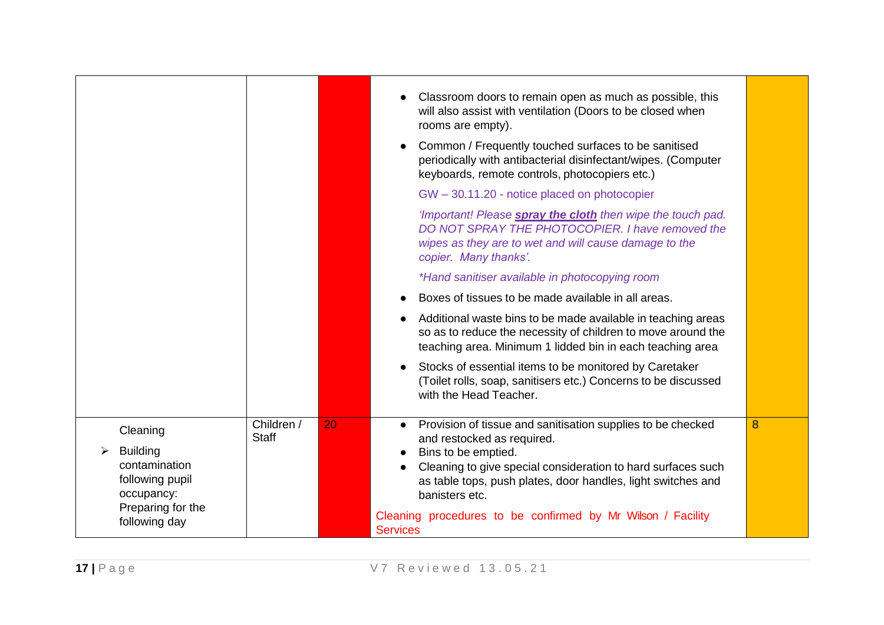|                                                                        |            |    | Classroom doors to remain open as much as possible, this<br>will also assist with ventilation (Doors to be closed when<br>rooms are empty).<br>Common / Frequently touched surfaces to be sanitised<br>$\bullet$<br>periodically with antibacterial disinfectant/wipes. (Computer<br>keyboards, remote controls, photocopiers etc.) |   |
|------------------------------------------------------------------------|------------|----|-------------------------------------------------------------------------------------------------------------------------------------------------------------------------------------------------------------------------------------------------------------------------------------------------------------------------------------|---|
|                                                                        |            |    | GW - 30.11.20 - notice placed on photocopier                                                                                                                                                                                                                                                                                        |   |
|                                                                        |            |    | 'Important! Please spray the cloth then wipe the touch pad.<br>DO NOT SPRAY THE PHOTOCOPIER. I have removed the<br>wipes as they are to wet and will cause damage to the<br>copier. Many thanks'.                                                                                                                                   |   |
|                                                                        |            |    | *Hand sanitiser available in photocopying room                                                                                                                                                                                                                                                                                      |   |
|                                                                        |            |    | Boxes of tissues to be made available in all areas.                                                                                                                                                                                                                                                                                 |   |
|                                                                        |            |    | Additional waste bins to be made available in teaching areas<br>so as to reduce the necessity of children to move around the<br>teaching area. Minimum 1 lidded bin in each teaching area                                                                                                                                           |   |
|                                                                        |            |    | Stocks of essential items to be monitored by Caretaker<br>(Toilet rolls, soap, sanitisers etc.) Concerns to be discussed<br>with the Head Teacher.                                                                                                                                                                                  |   |
| Cleaning                                                               | Children / | 20 | Provision of tissue and sanitisation supplies to be checked<br>$\bullet$                                                                                                                                                                                                                                                            | 8 |
| <b>Building</b><br>➤<br>contamination<br>following pupil<br>occupancy: | Staff      |    | and restocked as required.<br>Bins to be emptied.<br>Cleaning to give special consideration to hard surfaces such<br>as table tops, push plates, door handles, light switches and<br>banisters etc.                                                                                                                                 |   |
| Preparing for the<br>following day                                     |            |    | Cleaning procedures to be confirmed by Mr Wilson / Facility<br><b>Services</b>                                                                                                                                                                                                                                                      |   |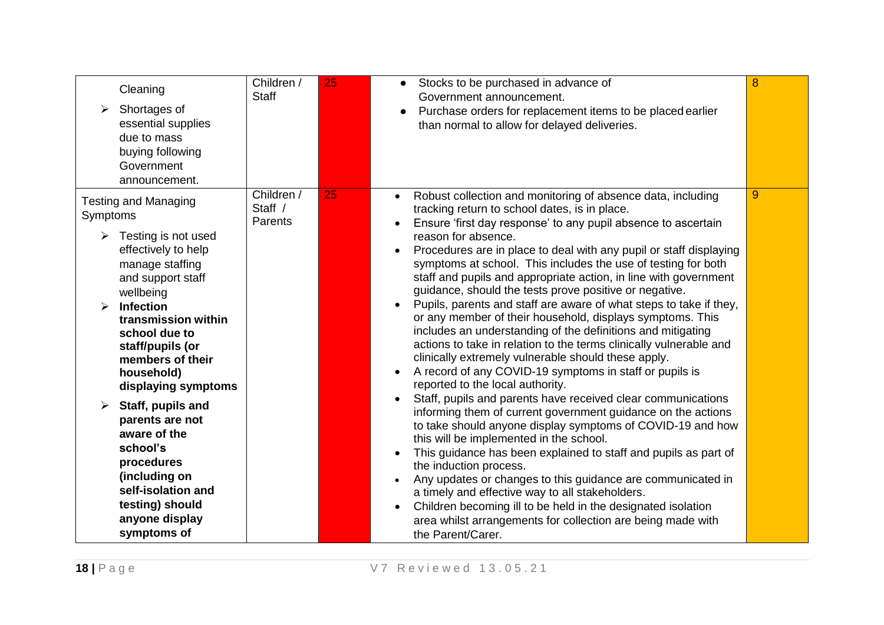| Cleaning<br>Shortages of<br>➤<br>essential supplies<br>due to mass<br>buying following<br>Government<br>announcement.                                                                                                                                                                                                                                                                                                                                                                                           | Children /<br><b>Staff</b>       | 25 | Stocks to be purchased in advance of<br>$\bullet$<br>Government announcement.<br>Purchase orders for replacement items to be placed earlier<br>$\bullet$<br>than normal to allow for delayed deliveries.                                                                                                                                                                                                                                                                                                                                                                                                                                                                                                                                                                                                                                                                                                                                                                                                                                                                                                                                                                                                                                                                                                                                                                                                                                                                                                                         | 8 |
|-----------------------------------------------------------------------------------------------------------------------------------------------------------------------------------------------------------------------------------------------------------------------------------------------------------------------------------------------------------------------------------------------------------------------------------------------------------------------------------------------------------------|----------------------------------|----|----------------------------------------------------------------------------------------------------------------------------------------------------------------------------------------------------------------------------------------------------------------------------------------------------------------------------------------------------------------------------------------------------------------------------------------------------------------------------------------------------------------------------------------------------------------------------------------------------------------------------------------------------------------------------------------------------------------------------------------------------------------------------------------------------------------------------------------------------------------------------------------------------------------------------------------------------------------------------------------------------------------------------------------------------------------------------------------------------------------------------------------------------------------------------------------------------------------------------------------------------------------------------------------------------------------------------------------------------------------------------------------------------------------------------------------------------------------------------------------------------------------------------------|---|
| <b>Testing and Managing</b><br>Symptoms<br>$\triangleright$ Testing is not used<br>effectively to help<br>manage staffing<br>and support staff<br>wellbeing<br><b>Infection</b><br>$\blacktriangleright$<br>transmission within<br>school due to<br>staff/pupils (or<br>members of their<br>household)<br>displaying symptoms<br>Staff, pupils and<br>➤<br>parents are not<br>aware of the<br>school's<br>procedures<br>(including on<br>self-isolation and<br>testing) should<br>anyone display<br>symptoms of | Children /<br>Staff /<br>Parents | 25 | Robust collection and monitoring of absence data, including<br>$\bullet$<br>tracking return to school dates, is in place.<br>Ensure 'first day response' to any pupil absence to ascertain<br>reason for absence.<br>Procedures are in place to deal with any pupil or staff displaying<br>symptoms at school. This includes the use of testing for both<br>staff and pupils and appropriate action, in line with government<br>guidance, should the tests prove positive or negative.<br>Pupils, parents and staff are aware of what steps to take if they,<br>or any member of their household, displays symptoms. This<br>includes an understanding of the definitions and mitigating<br>actions to take in relation to the terms clinically vulnerable and<br>clinically extremely vulnerable should these apply.<br>A record of any COVID-19 symptoms in staff or pupils is<br>reported to the local authority.<br>Staff, pupils and parents have received clear communications<br>informing them of current government guidance on the actions<br>to take should anyone display symptoms of COVID-19 and how<br>this will be implemented in the school.<br>This guidance has been explained to staff and pupils as part of<br>the induction process.<br>Any updates or changes to this guidance are communicated in<br>a timely and effective way to all stakeholders.<br>Children becoming ill to be held in the designated isolation<br>area whilst arrangements for collection are being made with<br>the Parent/Carer. | 9 |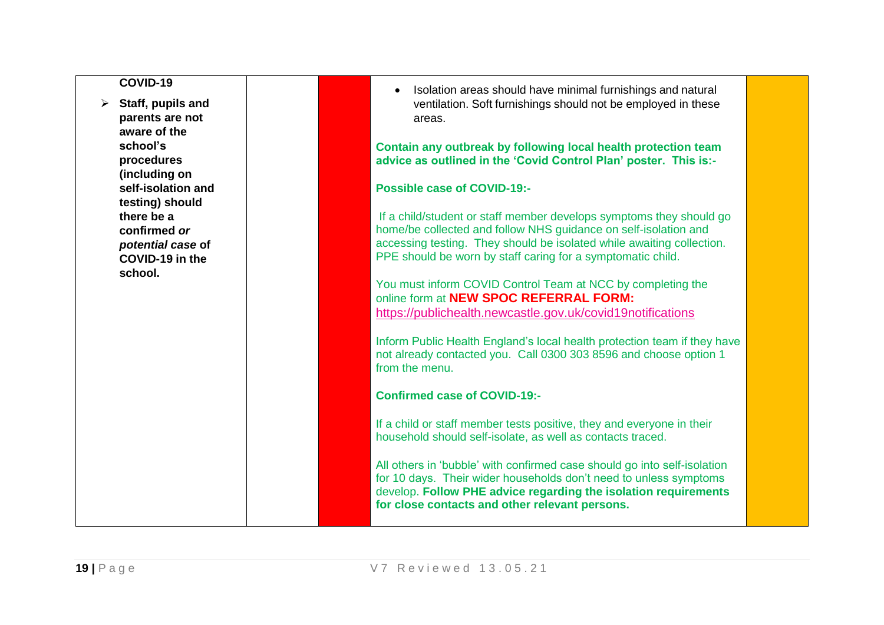| OVID- |  |
|-------|--|
|-------|--|

➢ **Staff, pupils and parents are not aware of the school's procedures (including on self-isolation and testing) should there be a confirmed** *or potential case* **of COVID-19 in the school.**

• Isolation areas should have minimal furnishings and natural ventilation. Soft furnishings should not be employed in these areas.

**Contain any outbreak by following local health protection team advice as outlined in the 'Covid Control Plan' poster. This is:-**

## **Possible case of COVID-19:-**

If a child/student or staff member develops symptoms they should go home/be collected and follow NHS guidance on self-isolation and accessing testing. They should be isolated while awaiting collection. PPE should be worn by staff caring for a symptomatic child.

You must inform COVID Control Team at NCC by completing the online form at **NEW SPOC REFERRAL FORM:**  <https://publichealth.newcastle.gov.uk/covid19notifications>

Inform Public Health England's local health protection team if they have not already contacted you. Call 0300 303 8596 and choose option 1 from the menu.

**Confirmed case of COVID-19:-**

If a child or staff member tests positive, they and everyone in their household should self-isolate, as well as contacts traced.

All others in 'bubble' with confirmed case should go into self-isolation for 10 days. Their wider households don't need to unless symptoms develop. **Follow PHE advice regarding the isolation requirements for close contacts and other relevant persons.**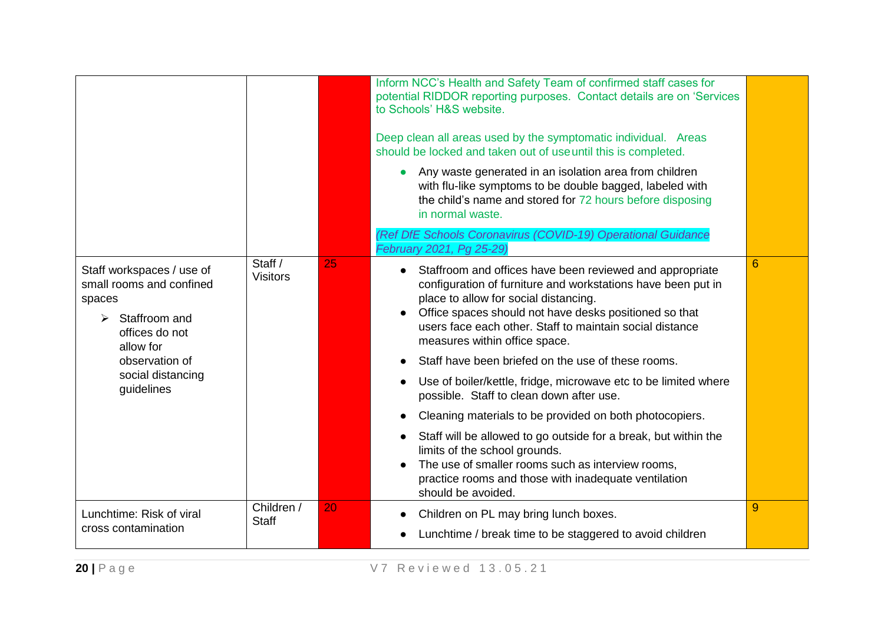|                                                                                                                                                                                               |                            |    | Inform NCC's Health and Safety Team of confirmed staff cases for<br>potential RIDDOR reporting purposes. Contact details are on 'Services<br>to Schools' H&S website.<br>Deep clean all areas used by the symptomatic individual. Areas<br>should be locked and taken out of use until this is completed.<br>Any waste generated in an isolation area from children<br>$\bullet$<br>with flu-like symptoms to be double bagged, labeled with<br>the child's name and stored for 72 hours before disposing<br>in normal waste.                                                                                                                                                                                                                                                                                                                       |                |
|-----------------------------------------------------------------------------------------------------------------------------------------------------------------------------------------------|----------------------------|----|-----------------------------------------------------------------------------------------------------------------------------------------------------------------------------------------------------------------------------------------------------------------------------------------------------------------------------------------------------------------------------------------------------------------------------------------------------------------------------------------------------------------------------------------------------------------------------------------------------------------------------------------------------------------------------------------------------------------------------------------------------------------------------------------------------------------------------------------------------|----------------|
|                                                                                                                                                                                               |                            |    | (Ref DfE Schools Coronavirus (COVID-19) Operational Guidance<br>February 2021, Pg 25-29)                                                                                                                                                                                                                                                                                                                                                                                                                                                                                                                                                                                                                                                                                                                                                            |                |
| Staff workspaces / use of<br>small rooms and confined<br>spaces<br>Staffroom and<br>$\blacktriangleright$<br>offices do not<br>allow for<br>observation of<br>social distancing<br>guidelines | Staff /<br><b>Visitors</b> | 25 | Staffroom and offices have been reviewed and appropriate<br>$\bullet$<br>configuration of furniture and workstations have been put in<br>place to allow for social distancing.<br>Office spaces should not have desks positioned so that<br>users face each other. Staff to maintain social distance<br>measures within office space.<br>Staff have been briefed on the use of these rooms.<br>Use of boiler/kettle, fridge, microwave etc to be limited where<br>$\bullet$<br>possible. Staff to clean down after use.<br>Cleaning materials to be provided on both photocopiers.<br>$\bullet$<br>Staff will be allowed to go outside for a break, but within the<br>$\bullet$<br>limits of the school grounds.<br>The use of smaller rooms such as interview rooms,<br>practice rooms and those with inadequate ventilation<br>should be avoided. | $6\phantom{1}$ |
| Lunchtime: Risk of viral                                                                                                                                                                      | Children /                 | 20 | Children on PL may bring lunch boxes.<br>$\bullet$                                                                                                                                                                                                                                                                                                                                                                                                                                                                                                                                                                                                                                                                                                                                                                                                  | 9              |
| cross contamination                                                                                                                                                                           | <b>Staff</b>               |    | Lunchtime / break time to be staggered to avoid children                                                                                                                                                                                                                                                                                                                                                                                                                                                                                                                                                                                                                                                                                                                                                                                            |                |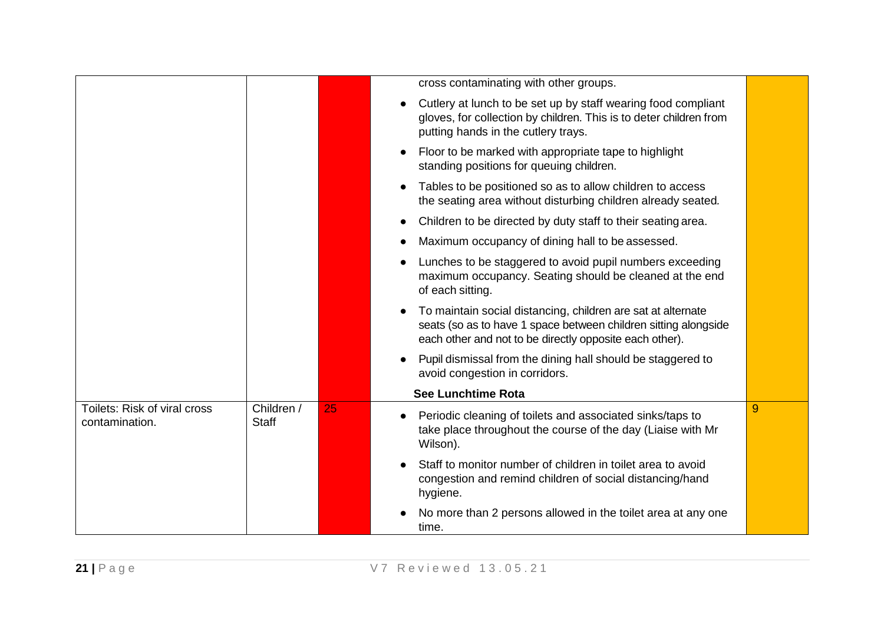|                                                |                            |    | cross contaminating with other groups.                                                                                                                                                                  |   |
|------------------------------------------------|----------------------------|----|---------------------------------------------------------------------------------------------------------------------------------------------------------------------------------------------------------|---|
|                                                |                            |    | Cutlery at lunch to be set up by staff wearing food compliant<br>gloves, for collection by children. This is to deter children from<br>putting hands in the cutlery trays.                              |   |
|                                                |                            |    | Floor to be marked with appropriate tape to highlight<br>standing positions for queuing children.                                                                                                       |   |
|                                                |                            |    | Tables to be positioned so as to allow children to access<br>the seating area without disturbing children already seated.                                                                               |   |
|                                                |                            |    | Children to be directed by duty staff to their seating area.<br>$\bullet$                                                                                                                               |   |
|                                                |                            |    | Maximum occupancy of dining hall to be assessed.                                                                                                                                                        |   |
|                                                |                            |    | Lunches to be staggered to avoid pupil numbers exceeding<br>maximum occupancy. Seating should be cleaned at the end<br>of each sitting.                                                                 |   |
|                                                |                            |    | To maintain social distancing, children are sat at alternate<br>$\bullet$<br>seats (so as to have 1 space between children sitting alongside<br>each other and not to be directly opposite each other). |   |
|                                                |                            |    | Pupil dismissal from the dining hall should be staggered to<br>$\bullet$<br>avoid congestion in corridors.                                                                                              |   |
|                                                |                            |    | <b>See Lunchtime Rota</b>                                                                                                                                                                               |   |
| Toilets: Risk of viral cross<br>contamination. | Children /<br><b>Staff</b> | 25 | Periodic cleaning of toilets and associated sinks/taps to<br>$\bullet$<br>take place throughout the course of the day (Liaise with Mr<br>Wilson).                                                       | 9 |
|                                                |                            |    | Staff to monitor number of children in toilet area to avoid<br>congestion and remind children of social distancing/hand<br>hygiene.                                                                     |   |
|                                                |                            |    | No more than 2 persons allowed in the toilet area at any one<br>time.                                                                                                                                   |   |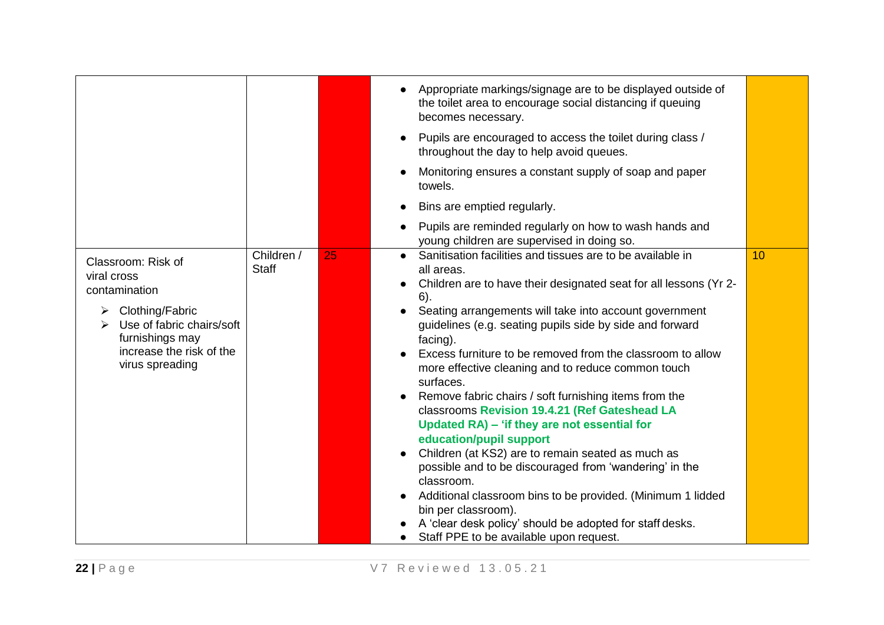|                                                                                                                                                                           |                            |    | Appropriate markings/signage are to be displayed outside of<br>$\bullet$<br>the toilet area to encourage social distancing if queuing<br>becomes necessary.                                                                                                                                                                                                                                                                                                                                                                                                                                                                                                                                                                                                                                                                                                                                                                                                      |    |
|---------------------------------------------------------------------------------------------------------------------------------------------------------------------------|----------------------------|----|------------------------------------------------------------------------------------------------------------------------------------------------------------------------------------------------------------------------------------------------------------------------------------------------------------------------------------------------------------------------------------------------------------------------------------------------------------------------------------------------------------------------------------------------------------------------------------------------------------------------------------------------------------------------------------------------------------------------------------------------------------------------------------------------------------------------------------------------------------------------------------------------------------------------------------------------------------------|----|
|                                                                                                                                                                           |                            |    | Pupils are encouraged to access the toilet during class /<br>$\bullet$<br>throughout the day to help avoid queues.                                                                                                                                                                                                                                                                                                                                                                                                                                                                                                                                                                                                                                                                                                                                                                                                                                               |    |
|                                                                                                                                                                           |                            |    | Monitoring ensures a constant supply of soap and paper<br>towels.                                                                                                                                                                                                                                                                                                                                                                                                                                                                                                                                                                                                                                                                                                                                                                                                                                                                                                |    |
|                                                                                                                                                                           |                            |    | Bins are emptied regularly.                                                                                                                                                                                                                                                                                                                                                                                                                                                                                                                                                                                                                                                                                                                                                                                                                                                                                                                                      |    |
|                                                                                                                                                                           |                            |    | Pupils are reminded regularly on how to wash hands and<br>$\bullet$<br>young children are supervised in doing so.                                                                                                                                                                                                                                                                                                                                                                                                                                                                                                                                                                                                                                                                                                                                                                                                                                                |    |
| Classroom: Risk of<br>viral cross<br>contamination<br>Clothing/Fabric<br>➤<br>Use of fabric chairs/soft<br>furnishings may<br>increase the risk of the<br>virus spreading | Children /<br><b>Staff</b> | 25 | Sanitisation facilities and tissues are to be available in<br>all areas.<br>Children are to have their designated seat for all lessons (Yr 2-<br>6).<br>Seating arrangements will take into account government<br>guidelines (e.g. seating pupils side by side and forward<br>facing).<br>Excess furniture to be removed from the classroom to allow<br>more effective cleaning and to reduce common touch<br>surfaces.<br>Remove fabric chairs / soft furnishing items from the<br>$\bullet$<br>classrooms Revision 19.4.21 (Ref Gateshead LA<br>Updated RA) - 'if they are not essential for<br>education/pupil support<br>Children (at KS2) are to remain seated as much as<br>$\bullet$<br>possible and to be discouraged from 'wandering' in the<br>classroom.<br>Additional classroom bins to be provided. (Minimum 1 lidded<br>bin per classroom).<br>A 'clear desk policy' should be adopted for staff desks.<br>Staff PPE to be available upon request. | 10 |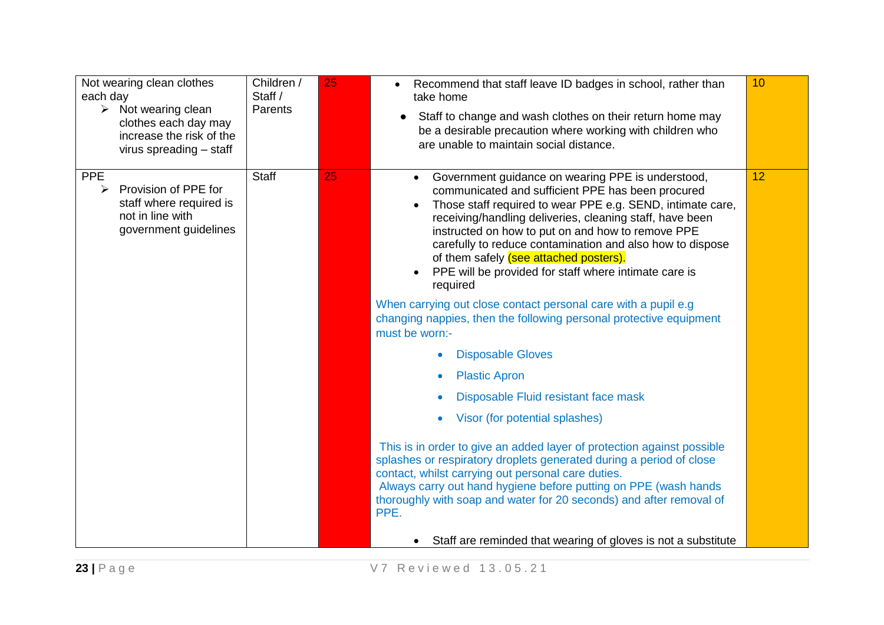| Not wearing clean clothes<br>each day<br>$\triangleright$ Not wearing clean<br>clothes each day may<br>increase the risk of the<br>virus spreading - staff | Children /<br>Staff /<br>Parents | 25 | Recommend that staff leave ID badges in school, rather than<br>$\bullet$<br>take home<br>Staff to change and wash clothes on their return home may<br>$\bullet$<br>be a desirable precaution where working with children who<br>are unable to maintain social distance.                                                                                                                                                                                                        | 10 |
|------------------------------------------------------------------------------------------------------------------------------------------------------------|----------------------------------|----|--------------------------------------------------------------------------------------------------------------------------------------------------------------------------------------------------------------------------------------------------------------------------------------------------------------------------------------------------------------------------------------------------------------------------------------------------------------------------------|----|
| <b>PPE</b><br>Provision of PPE for<br>$\blacktriangleright$<br>staff where required is<br>not in line with<br>government guidelines                        | <b>Staff</b>                     | 25 | Government guidance on wearing PPE is understood,<br>$\bullet$<br>communicated and sufficient PPE has been procured<br>Those staff required to wear PPE e.g. SEND, intimate care,<br>receiving/handling deliveries, cleaning staff, have been<br>instructed on how to put on and how to remove PPE<br>carefully to reduce contamination and also how to dispose<br>of them safely (see attached posters).<br>PPE will be provided for staff where intimate care is<br>required | 12 |
|                                                                                                                                                            |                                  |    | When carrying out close contact personal care with a pupil e.g.<br>changing nappies, then the following personal protective equipment<br>must be worn:-                                                                                                                                                                                                                                                                                                                        |    |
|                                                                                                                                                            |                                  |    | <b>Disposable Gloves</b>                                                                                                                                                                                                                                                                                                                                                                                                                                                       |    |
|                                                                                                                                                            |                                  |    | <b>Plastic Apron</b>                                                                                                                                                                                                                                                                                                                                                                                                                                                           |    |
|                                                                                                                                                            |                                  |    | Disposable Fluid resistant face mask<br>$\bullet$                                                                                                                                                                                                                                                                                                                                                                                                                              |    |
|                                                                                                                                                            |                                  |    | Visor (for potential splashes)<br>$\bullet$                                                                                                                                                                                                                                                                                                                                                                                                                                    |    |
|                                                                                                                                                            |                                  |    | This is in order to give an added layer of protection against possible<br>splashes or respiratory droplets generated during a period of close<br>contact, whilst carrying out personal care duties.<br>Always carry out hand hygiene before putting on PPE (wash hands<br>thoroughly with soap and water for 20 seconds) and after removal of<br>PPE.                                                                                                                          |    |
|                                                                                                                                                            |                                  |    | Staff are reminded that wearing of gloves is not a substitute                                                                                                                                                                                                                                                                                                                                                                                                                  |    |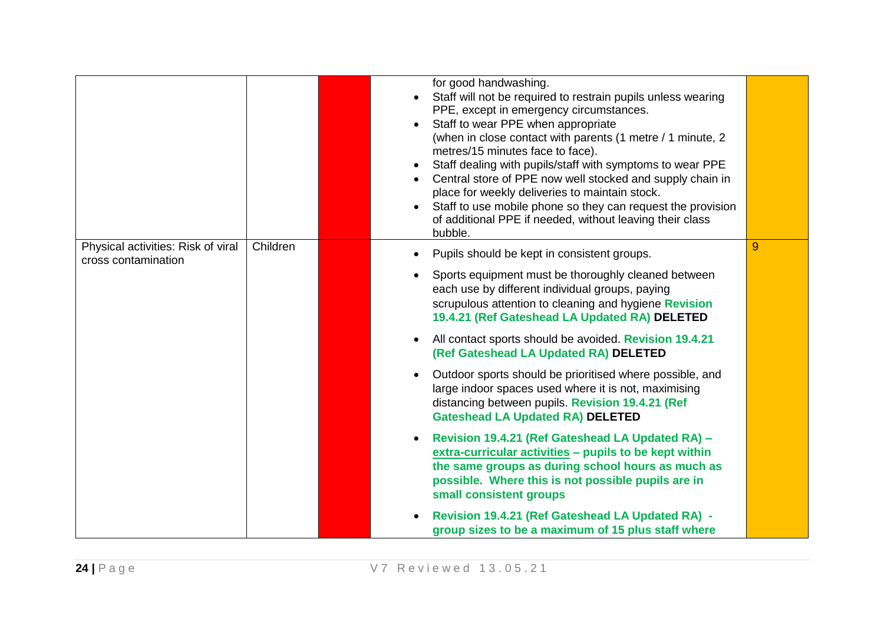|                                                           |          | for good handwashing.<br>Staff will not be required to restrain pupils unless wearing<br>PPE, except in emergency circumstances.<br>Staff to wear PPE when appropriate<br>(when in close contact with parents (1 metre / 1 minute, 2<br>metres/15 minutes face to face).<br>Staff dealing with pupils/staff with symptoms to wear PPE<br>Central store of PPE now well stocked and supply chain in<br>place for weekly deliveries to maintain stock.<br>Staff to use mobile phone so they can request the provision<br>$\bullet$<br>of additional PPE if needed, without leaving their class<br>bubble. |   |
|-----------------------------------------------------------|----------|---------------------------------------------------------------------------------------------------------------------------------------------------------------------------------------------------------------------------------------------------------------------------------------------------------------------------------------------------------------------------------------------------------------------------------------------------------------------------------------------------------------------------------------------------------------------------------------------------------|---|
| Physical activities: Risk of viral<br>cross contamination | Children | Pupils should be kept in consistent groups.<br>Sports equipment must be thoroughly cleaned between<br>each use by different individual groups, paying<br>scrupulous attention to cleaning and hygiene Revision<br>19.4.21 (Ref Gateshead LA Updated RA) DELETED<br>All contact sports should be avoided. Revision 19.4.21<br>$\bullet$<br>(Ref Gateshead LA Updated RA) DELETED<br>Outdoor sports should be prioritised where possible, and<br>large indoor spaces used where it is not, maximising<br>distancing between pupils. Revision 19.4.21 (Ref<br><b>Gateshead LA Updated RA) DELETED</b>      | 9 |
|                                                           |          | Revision 19.4.21 (Ref Gateshead LA Updated RA) -<br>extra-curricular activities - pupils to be kept within<br>the same groups as during school hours as much as<br>possible. Where this is not possible pupils are in<br>small consistent groups<br>Revision 19.4.21 (Ref Gateshead LA Updated RA) -<br>group sizes to be a maximum of 15 plus staff where                                                                                                                                                                                                                                              |   |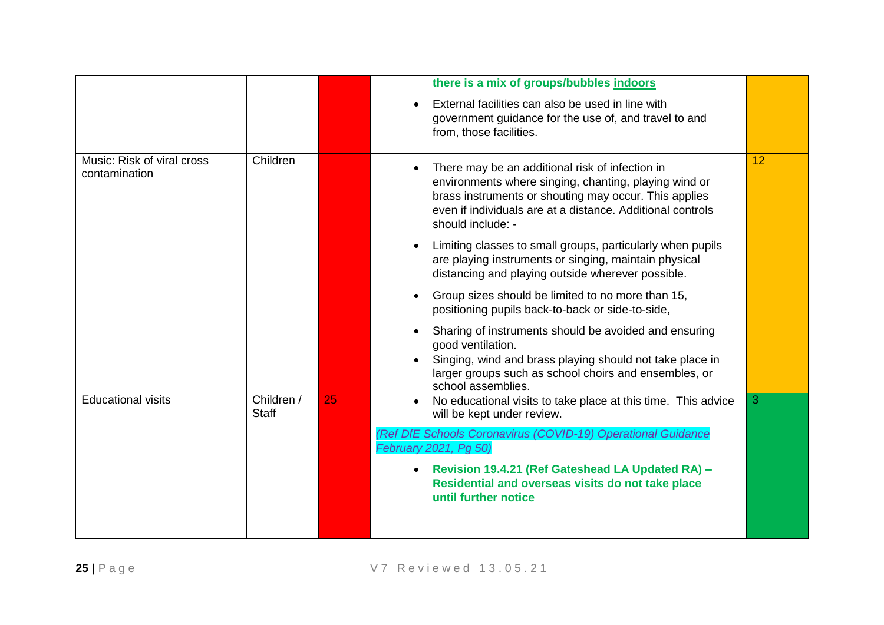|                                             |                            |    | there is a mix of groups/bubbles indoors                                                                                                                                                                                                             |    |
|---------------------------------------------|----------------------------|----|------------------------------------------------------------------------------------------------------------------------------------------------------------------------------------------------------------------------------------------------------|----|
|                                             |                            |    | External facilities can also be used in line with<br>government guidance for the use of, and travel to and<br>from, those facilities.                                                                                                                |    |
| Music: Risk of viral cross<br>contamination | Children                   |    | There may be an additional risk of infection in<br>environments where singing, chanting, playing wind or<br>brass instruments or shouting may occur. This applies<br>even if individuals are at a distance. Additional controls<br>should include: - | 12 |
|                                             |                            |    | Limiting classes to small groups, particularly when pupils<br>are playing instruments or singing, maintain physical<br>distancing and playing outside wherever possible.                                                                             |    |
|                                             |                            |    | Group sizes should be limited to no more than 15,<br>$\bullet$<br>positioning pupils back-to-back or side-to-side,                                                                                                                                   |    |
|                                             |                            |    | Sharing of instruments should be avoided and ensuring<br>good ventilation.<br>Singing, wind and brass playing should not take place in                                                                                                               |    |
|                                             |                            |    | larger groups such as school choirs and ensembles, or<br>school assemblies.                                                                                                                                                                          |    |
| <b>Educational visits</b>                   | Children /<br><b>Staff</b> | 25 | No educational visits to take place at this time. This advice<br>$\bullet$<br>will be kept under review.                                                                                                                                             | 3  |
|                                             |                            |    | (Ref DfE Schools Coronavirus (COVID-19) Operational Guidance<br>February 2021, Pg 50)                                                                                                                                                                |    |
|                                             |                            |    | Revision 19.4.21 (Ref Gateshead LA Updated RA) -<br>$\bullet$<br>Residential and overseas visits do not take place<br>until further notice                                                                                                           |    |
|                                             |                            |    |                                                                                                                                                                                                                                                      |    |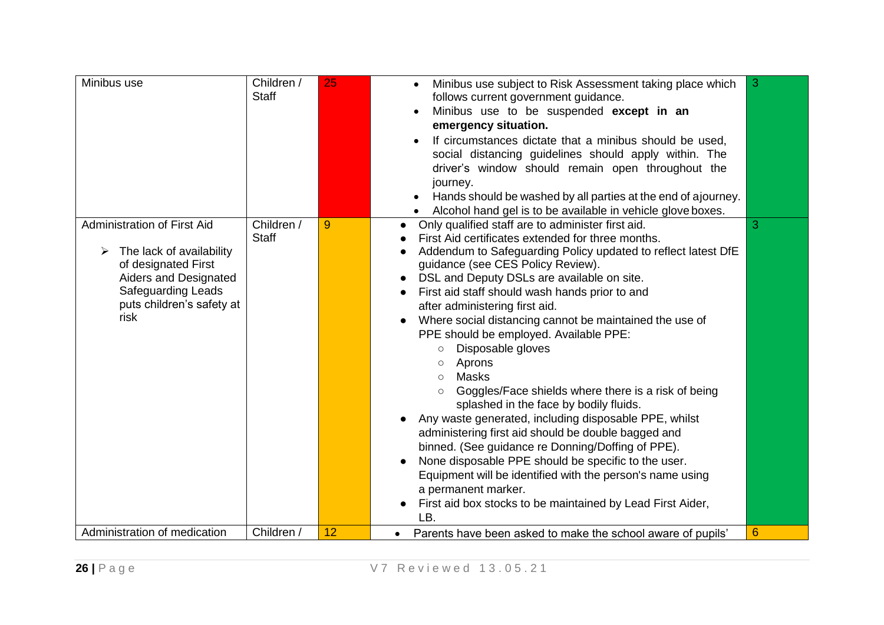| Minibus use                                                                                                                                                               | Children /<br><b>Staff</b> | 25 | Minibus use subject to Risk Assessment taking place which<br>$\bullet$<br>follows current government guidance.<br>Minibus use to be suspended except in an<br>emergency situation.<br>If circumstances dictate that a minibus should be used,<br>social distancing guidelines should apply within. The<br>driver's window should remain open throughout the<br>journey.<br>Hands should be washed by all parties at the end of ajourney.<br>Alcohol hand gel is to be available in vehicle glove boxes.                                                                                                                                                                                                                                                                                                                                                                                                                                                                                                                                                                                                                       | 3               |
|---------------------------------------------------------------------------------------------------------------------------------------------------------------------------|----------------------------|----|-------------------------------------------------------------------------------------------------------------------------------------------------------------------------------------------------------------------------------------------------------------------------------------------------------------------------------------------------------------------------------------------------------------------------------------------------------------------------------------------------------------------------------------------------------------------------------------------------------------------------------------------------------------------------------------------------------------------------------------------------------------------------------------------------------------------------------------------------------------------------------------------------------------------------------------------------------------------------------------------------------------------------------------------------------------------------------------------------------------------------------|-----------------|
| Administration of First Aid<br>The lack of availability<br>of designated First<br>Aiders and Designated<br><b>Safeguarding Leads</b><br>puts children's safety at<br>risk | Children /<br>Staff        | 9  | Only qualified staff are to administer first aid.<br>$\bullet$<br>First Aid certificates extended for three months.<br>Addendum to Safeguarding Policy updated to reflect latest DfE<br>$\bullet$<br>guidance (see CES Policy Review).<br>DSL and Deputy DSLs are available on site.<br>First aid staff should wash hands prior to and<br>$\bullet$<br>after administering first aid.<br>Where social distancing cannot be maintained the use of<br>$\bullet$<br>PPE should be employed. Available PPE:<br>Disposable gloves<br>$\circlearrowright$<br>Aprons<br>$\circlearrowright$<br><b>Masks</b><br>$\circ$<br>Goggles/Face shields where there is a risk of being<br>$\circ$<br>splashed in the face by bodily fluids.<br>Any waste generated, including disposable PPE, whilst<br>administering first aid should be double bagged and<br>binned. (See guidance re Donning/Doffing of PPE).<br>None disposable PPE should be specific to the user.<br>$\bullet$<br>Equipment will be identified with the person's name using<br>a permanent marker.<br>First aid box stocks to be maintained by Lead First Aider,<br>LB. | 3               |
| Administration of medication                                                                                                                                              | Children /                 | 12 | Parents have been asked to make the school aware of pupils'                                                                                                                                                                                                                                                                                                                                                                                                                                                                                                                                                                                                                                                                                                                                                                                                                                                                                                                                                                                                                                                                   | $6\phantom{1}6$ |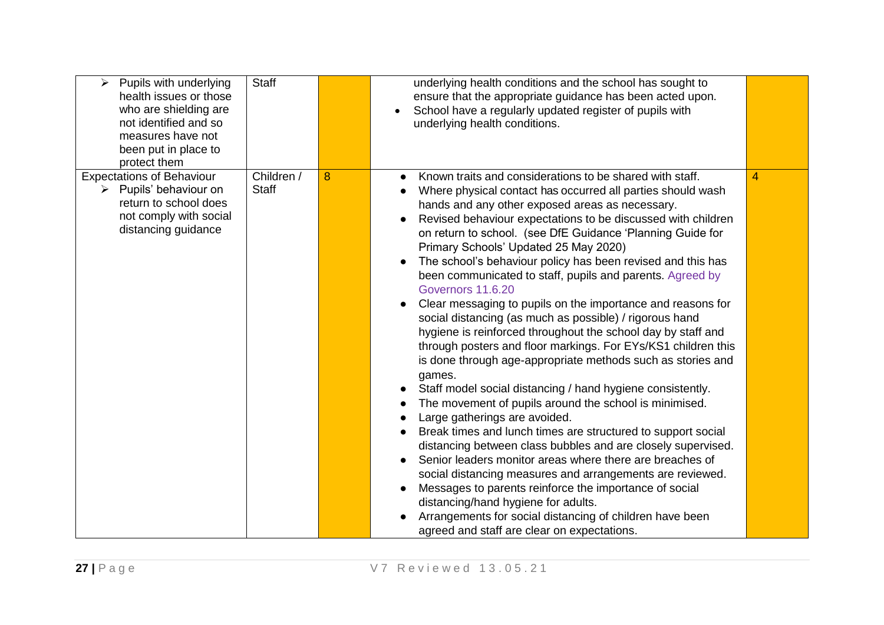| Pupils with underlying<br>$\blacktriangleright$<br>health issues or those<br>who are shielding are<br>not identified and so<br>measures have not<br>been put in place to<br>protect them | <b>Staff</b>               |   | underlying health conditions and the school has sought to<br>ensure that the appropriate guidance has been acted upon.<br>School have a regularly updated register of pupils with<br>underlying health conditions.                                                                                                                                                                                                                                                                                                                                                                                                                                                                                                                                                                                                                                                                                                                                                                                                                                                                                                                                                                                                                                                                                                                                                                                                                                                                |   |
|------------------------------------------------------------------------------------------------------------------------------------------------------------------------------------------|----------------------------|---|-----------------------------------------------------------------------------------------------------------------------------------------------------------------------------------------------------------------------------------------------------------------------------------------------------------------------------------------------------------------------------------------------------------------------------------------------------------------------------------------------------------------------------------------------------------------------------------------------------------------------------------------------------------------------------------------------------------------------------------------------------------------------------------------------------------------------------------------------------------------------------------------------------------------------------------------------------------------------------------------------------------------------------------------------------------------------------------------------------------------------------------------------------------------------------------------------------------------------------------------------------------------------------------------------------------------------------------------------------------------------------------------------------------------------------------------------------------------------------------|---|
| <b>Expectations of Behaviour</b><br>Pupils' behaviour on<br>≻<br>return to school does<br>not comply with social<br>distancing guidance                                                  | Children /<br><b>Staff</b> | 8 | Known traits and considerations to be shared with staff.<br>$\bullet$<br>Where physical contact has occurred all parties should wash<br>hands and any other exposed areas as necessary.<br>Revised behaviour expectations to be discussed with children<br>on return to school. (see DfE Guidance 'Planning Guide for<br>Primary Schools' Updated 25 May 2020)<br>The school's behaviour policy has been revised and this has<br>been communicated to staff, pupils and parents. Agreed by<br>Governors 11.6.20<br>Clear messaging to pupils on the importance and reasons for<br>social distancing (as much as possible) / rigorous hand<br>hygiene is reinforced throughout the school day by staff and<br>through posters and floor markings. For EYs/KS1 children this<br>is done through age-appropriate methods such as stories and<br>games.<br>Staff model social distancing / hand hygiene consistently.<br>The movement of pupils around the school is minimised.<br>Large gatherings are avoided.<br>Break times and lunch times are structured to support social<br>distancing between class bubbles and are closely supervised.<br>Senior leaders monitor areas where there are breaches of<br>social distancing measures and arrangements are reviewed.<br>Messages to parents reinforce the importance of social<br>distancing/hand hygiene for adults.<br>Arrangements for social distancing of children have been<br>agreed and staff are clear on expectations. | 4 |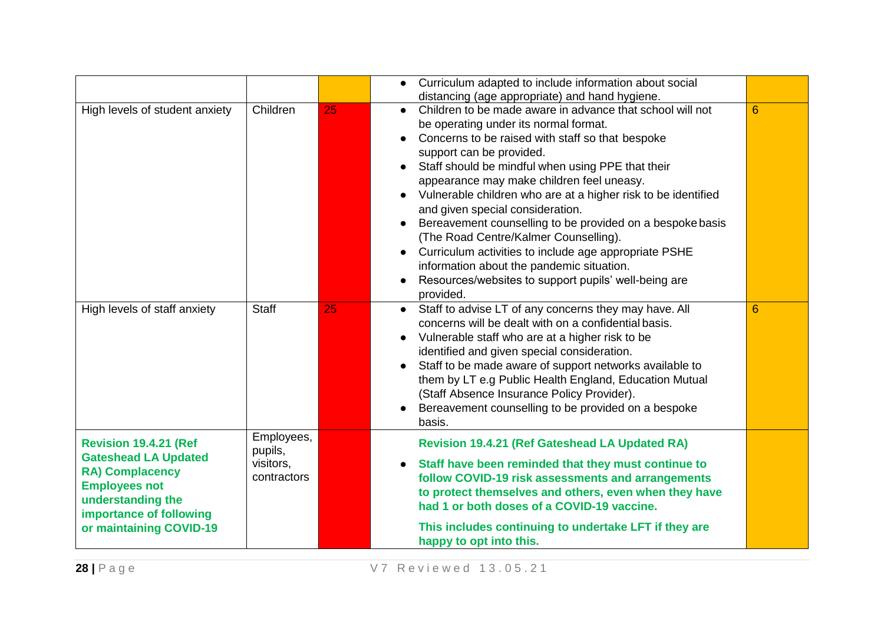|                                                                                                                                                                                   |                                                   |    | Curriculum adapted to include information about social<br>$\bullet$<br>distancing (age appropriate) and hand hygiene.                                                                                                                                                                                                                                                                                                                                                                                                                                                                                                                                                                                                          |   |
|-----------------------------------------------------------------------------------------------------------------------------------------------------------------------------------|---------------------------------------------------|----|--------------------------------------------------------------------------------------------------------------------------------------------------------------------------------------------------------------------------------------------------------------------------------------------------------------------------------------------------------------------------------------------------------------------------------------------------------------------------------------------------------------------------------------------------------------------------------------------------------------------------------------------------------------------------------------------------------------------------------|---|
| High levels of student anxiety                                                                                                                                                    | Children                                          | 25 | Children to be made aware in advance that school will not<br>$\bullet$<br>be operating under its normal format.<br>Concerns to be raised with staff so that bespoke<br>$\bullet$<br>support can be provided.<br>Staff should be mindful when using PPE that their<br>$\bullet$<br>appearance may make children feel uneasy.<br>Vulnerable children who are at a higher risk to be identified<br>and given special consideration.<br>Bereavement counselling to be provided on a bespoke basis<br>(The Road Centre/Kalmer Counselling).<br>Curriculum activities to include age appropriate PSHE<br>information about the pandemic situation.<br>Resources/websites to support pupils' well-being are<br>$\bullet$<br>provided. | 6 |
| High levels of staff anxiety                                                                                                                                                      | <b>Staff</b>                                      | 25 | Staff to advise LT of any concerns they may have. All<br>$\bullet$<br>concerns will be dealt with on a confidential basis.<br>Vulnerable staff who are at a higher risk to be<br>$\bullet$<br>identified and given special consideration.<br>Staff to be made aware of support networks available to<br>them by LT e.g Public Health England, Education Mutual<br>(Staff Absence Insurance Policy Provider).<br>Bereavement counselling to be provided on a bespoke<br>basis.                                                                                                                                                                                                                                                  | 6 |
| Revision 19.4.21 (Ref<br><b>Gateshead LA Updated</b><br><b>RA) Complacency</b><br><b>Employees not</b><br>understanding the<br>importance of following<br>or maintaining COVID-19 | Employees,<br>pupils,<br>visitors,<br>contractors |    | <b>Revision 19.4.21 (Ref Gateshead LA Updated RA)</b><br>Staff have been reminded that they must continue to<br>follow COVID-19 risk assessments and arrangements<br>to protect themselves and others, even when they have<br>had 1 or both doses of a COVID-19 vaccine.<br>This includes continuing to undertake LFT if they are<br>happy to opt into this.                                                                                                                                                                                                                                                                                                                                                                   |   |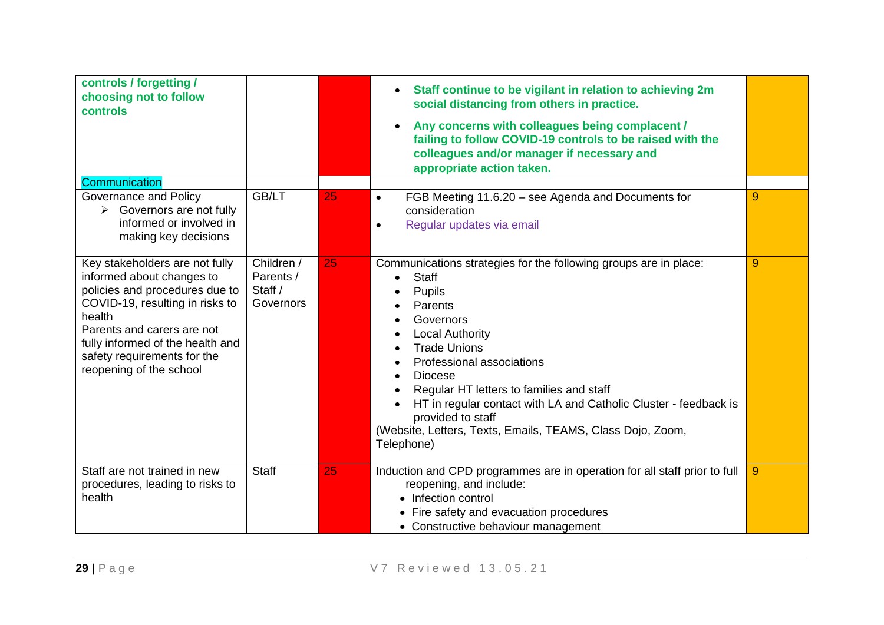| controls / forgetting /<br>choosing not to follow<br><b>controls</b>                                                                                                                                                                                                   |                                                 |    | Staff continue to be vigilant in relation to achieving 2m<br>social distancing from others in practice.<br>Any concerns with colleagues being complacent /<br>failing to follow COVID-19 controls to be raised with the<br>colleagues and/or manager if necessary and<br>appropriate action taken.                                                                                                                                                      |   |
|------------------------------------------------------------------------------------------------------------------------------------------------------------------------------------------------------------------------------------------------------------------------|-------------------------------------------------|----|---------------------------------------------------------------------------------------------------------------------------------------------------------------------------------------------------------------------------------------------------------------------------------------------------------------------------------------------------------------------------------------------------------------------------------------------------------|---|
| Communication<br>Governance and Policy<br>Governors are not fully<br>$\blacktriangleright$<br>informed or involved in<br>making key decisions                                                                                                                          | GB/LT                                           | 25 | FGB Meeting 11.6.20 – see Agenda and Documents for<br>$\bullet$<br>consideration<br>Regular updates via email<br>$\bullet$                                                                                                                                                                                                                                                                                                                              | 9 |
| Key stakeholders are not fully<br>informed about changes to<br>policies and procedures due to<br>COVID-19, resulting in risks to<br>health<br>Parents and carers are not<br>fully informed of the health and<br>safety requirements for the<br>reopening of the school | Children /<br>Parents /<br>Staff /<br>Governors | 25 | Communications strategies for the following groups are in place:<br><b>Staff</b><br>$\bullet$<br><b>Pupils</b><br>Parents<br>Governors<br><b>Local Authority</b><br><b>Trade Unions</b><br>Professional associations<br><b>Diocese</b><br>Regular HT letters to families and staff<br>HT in regular contact with LA and Catholic Cluster - feedback is<br>provided to staff<br>(Website, Letters, Texts, Emails, TEAMS, Class Dojo, Zoom,<br>Telephone) | 9 |
| Staff are not trained in new<br>procedures, leading to risks to<br>health                                                                                                                                                                                              | <b>Staff</b>                                    | 25 | Induction and CPD programmes are in operation for all staff prior to full<br>reopening, and include:<br>• Infection control<br>• Fire safety and evacuation procedures<br>• Constructive behaviour management                                                                                                                                                                                                                                           | 9 |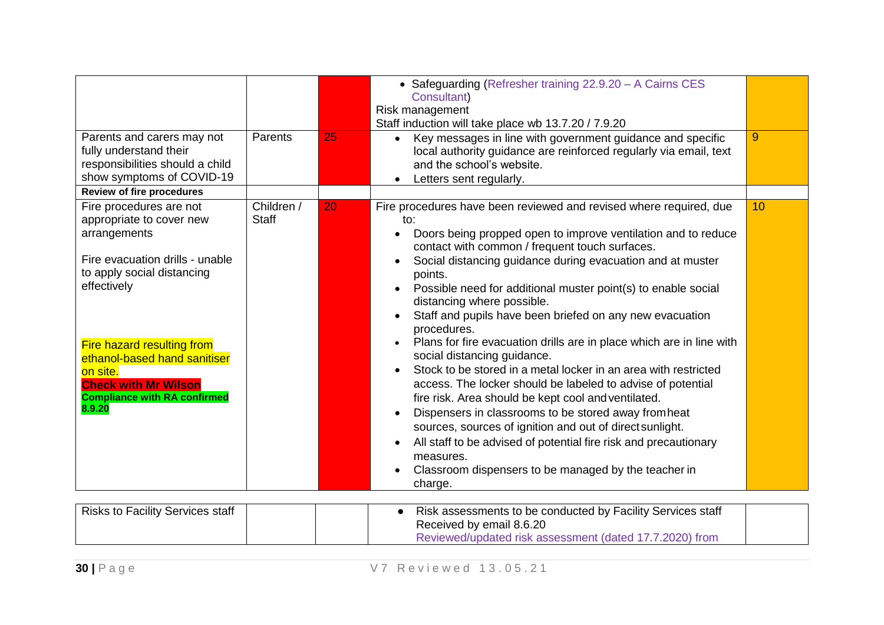| Parents and carers may not<br>fully understand their<br>responsibilities should a child<br>show symptoms of COVID-19<br><b>Review of fire procedures</b>                                                                                                                                                             | Parents                    | 25 | • Safeguarding (Refresher training 22.9.20 - A Cairns CES<br>Consultant)<br>Risk management<br>Staff induction will take place wb 13.7.20 / 7.9.20<br>Key messages in line with government guidance and specific<br>local authority guidance are reinforced regularly via email, text<br>and the school's website.<br>Letters sent regularly.                                                                                                                                                                                                                                                                                                                                                                                                                                                                                                                                                                                                                                                                                        | 9  |
|----------------------------------------------------------------------------------------------------------------------------------------------------------------------------------------------------------------------------------------------------------------------------------------------------------------------|----------------------------|----|--------------------------------------------------------------------------------------------------------------------------------------------------------------------------------------------------------------------------------------------------------------------------------------------------------------------------------------------------------------------------------------------------------------------------------------------------------------------------------------------------------------------------------------------------------------------------------------------------------------------------------------------------------------------------------------------------------------------------------------------------------------------------------------------------------------------------------------------------------------------------------------------------------------------------------------------------------------------------------------------------------------------------------------|----|
| Fire procedures are not<br>appropriate to cover new<br>arrangements<br>Fire evacuation drills - unable<br>to apply social distancing<br>effectively<br><b>Fire hazard resulting from</b><br>ethanol-based hand sanitiser<br>on site.<br><b>Check with Mr Wilson</b><br><b>Compliance with RA confirmed</b><br>8.9.20 | Children /<br><b>Staff</b> | 20 | Fire procedures have been reviewed and revised where required, due<br>to:<br>Doors being propped open to improve ventilation and to reduce<br>$\bullet$<br>contact with common / frequent touch surfaces.<br>Social distancing guidance during evacuation and at muster<br>points.<br>Possible need for additional muster point(s) to enable social<br>distancing where possible.<br>Staff and pupils have been briefed on any new evacuation<br>procedures.<br>Plans for fire evacuation drills are in place which are in line with<br>social distancing guidance.<br>Stock to be stored in a metal locker in an area with restricted<br>access. The locker should be labeled to advise of potential<br>fire risk. Area should be kept cool and ventilated.<br>Dispensers in classrooms to be stored away from heat<br>sources, sources of ignition and out of direct sunlight.<br>All staff to be advised of potential fire risk and precautionary<br>measures.<br>Classroom dispensers to be managed by the teacher in<br>charge. | 10 |
| <b>Risks to Facility Services staff</b>                                                                                                                                                                                                                                                                              |                            |    | Risk assessments to be conducted by Facility Services staff<br>$\bullet$<br>Received by email 8.6.20<br>Reviewed/updated risk assessment (dated 17.7.2020) from                                                                                                                                                                                                                                                                                                                                                                                                                                                                                                                                                                                                                                                                                                                                                                                                                                                                      |    |